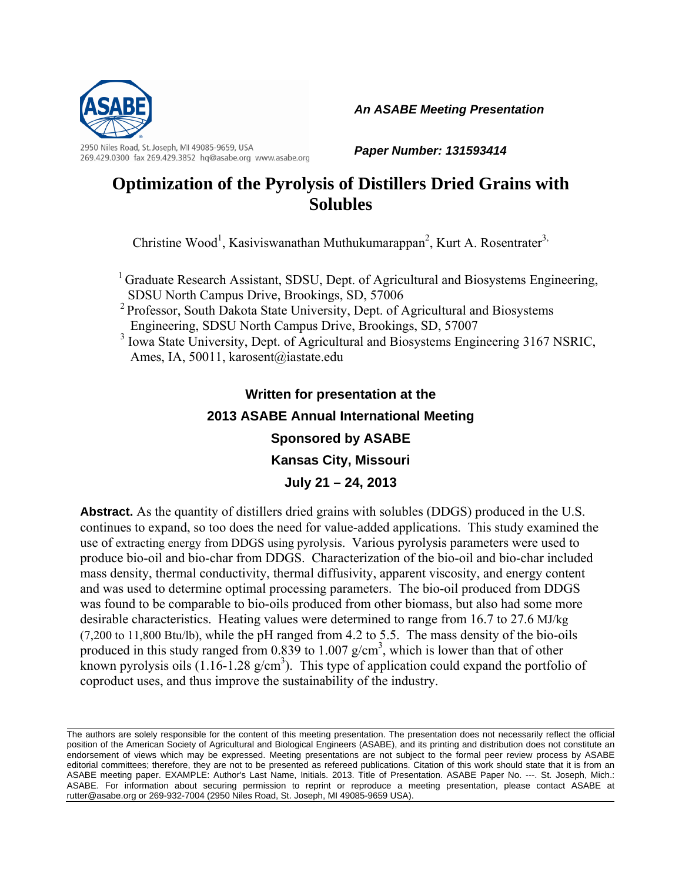

2950 Niles Road, St. Joseph, MI 49085-9659, USA 269.429.0300 fax 269.429.3852 hq@asabe.org www.asabe.org *An ASABE Meeting Presentation* 

*Paper Number: 131593414* 

# **Optimization of the Pyrolysis of Distillers Dried Grains with Solubles**

Christine Wood<sup>1</sup>, Kasiviswanathan Muthukumarappan<sup>2</sup>, Kurt A. Rosentrater<sup>3,</sup>

<sup>1</sup> Graduate Research Assistant, SDSU, Dept. of Agricultural and Biosystems Engineering, SDSU North Campus Drive, Brookings, SD, 57006

- <sup>2</sup> Professor, South Dakota State University, Dept. of Agricultural and Biosystems Engineering, SDSU North Campus Drive, Brookings, SD, 57007
- <sup>3</sup> Iowa State University, Dept. of Agricultural and Biosystems Engineering 3167 NSRIC, Ames, IA, 50011, karosent@iastate.edu

# **Written for presentation at the 2013 ASABE Annual International Meeting Sponsored by ASABE Kansas City, Missouri July 21 – 24, 2013**

**Abstract.** As the quantity of distillers dried grains with solubles (DDGS) produced in the U.S. continues to expand, so too does the need for value-added applications. This study examined the use of extracting energy from DDGS using pyrolysis. Various pyrolysis parameters were used to produce bio-oil and bio-char from DDGS. Characterization of the bio-oil and bio-char included mass density, thermal conductivity, thermal diffusivity, apparent viscosity, and energy content and was used to determine optimal processing parameters.The bio-oil produced from DDGS was found to be comparable to bio-oils produced from other biomass, but also had some more desirable characteristics. Heating values were determined to range from 16.7 to 27.6 MJ/kg (7,200 to 11,800 Btu/lb), while the pH ranged from 4.2 to 5.5. The mass density of the bio-oils produced in this study ranged from  $0.839$  to  $1.007$  g/cm<sup>3</sup>, which is lower than that of other known pyrolysis oils  $(1.16 - 1.28 \text{ g/cm}^3)$ . This type of application could expand the portfolio of coproduct uses, and thus improve the sustainability of the industry.

The authors are solely responsible for the content of this meeting presentation. The presentation does not necessarily reflect the official position of the American Society of Agricultural and Biological Engineers (ASABE), and its printing and distribution does not constitute an endorsement of views which may be expressed. Meeting presentations are not subject to the formal peer review process by ASABE editorial committees; therefore, they are not to be presented as refereed publications. Citation of this work should state that it is from an ASABE meeting paper. EXAMPLE: Author's Last Name, Initials. 2013. Title of Presentation. ASABE Paper No. ---. St. Joseph, Mich.: ASABE. For information about securing permission to reprint or reproduce a meeting presentation, please contact ASABE at rutter@asabe.org or 269-932-7004 (2950 Niles Road, St. Joseph, MI 49085-9659 USA).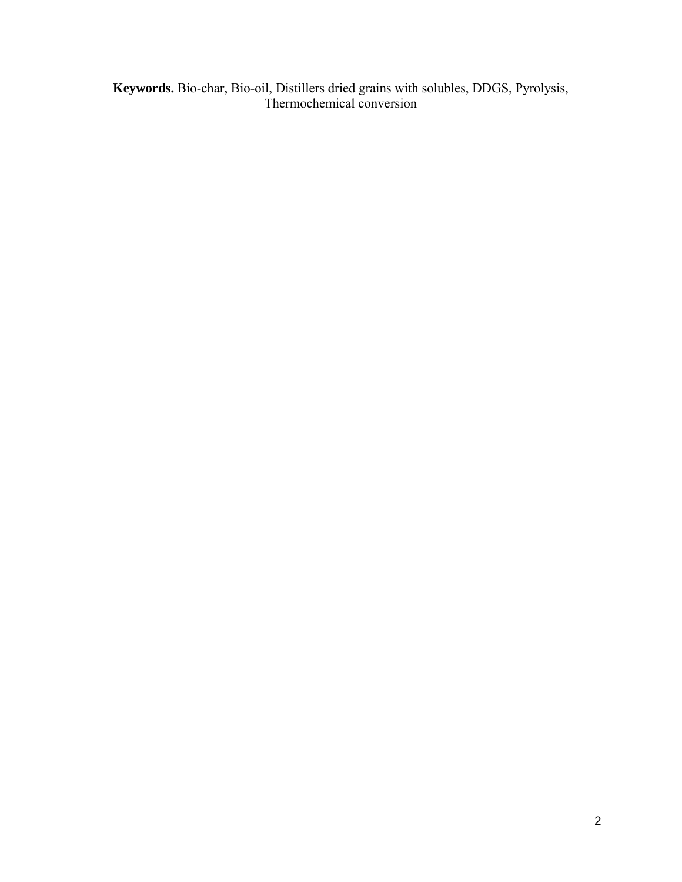**Keywords.** Bio-char, Bio-oil, Distillers dried grains with solubles, DDGS, Pyrolysis, Thermochemical conversion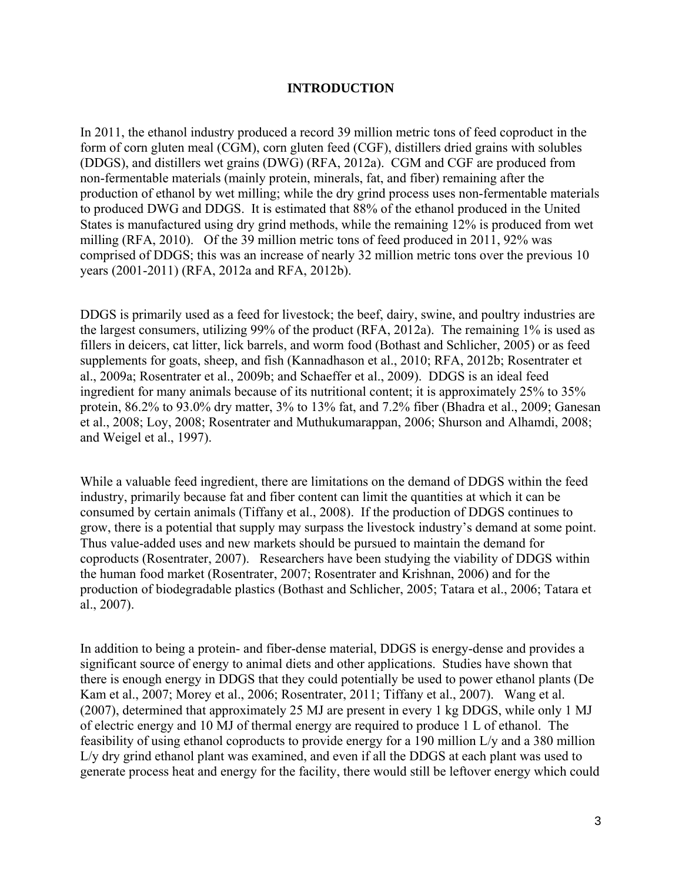## **INTRODUCTION**

In 2011, the ethanol industry produced a record 39 million metric tons of feed coproduct in the form of corn gluten meal (CGM), corn gluten feed (CGF), distillers dried grains with solubles (DDGS), and distillers wet grains (DWG) (RFA, 2012a). CGM and CGF are produced from non-fermentable materials (mainly protein, minerals, fat, and fiber) remaining after the production of ethanol by wet milling; while the dry grind process uses non-fermentable materials to produced DWG and DDGS. It is estimated that 88% of the ethanol produced in the United States is manufactured using dry grind methods, while the remaining 12% is produced from wet milling (RFA, 2010). Of the 39 million metric tons of feed produced in 2011, 92% was comprised of DDGS; this was an increase of nearly 32 million metric tons over the previous 10 years (2001-2011) (RFA, 2012a and RFA, 2012b).

DDGS is primarily used as a feed for livestock; the beef, dairy, swine, and poultry industries are the largest consumers, utilizing 99% of the product (RFA, 2012a). The remaining 1% is used as fillers in deicers, cat litter, lick barrels, and worm food (Bothast and Schlicher, 2005) or as feed supplements for goats, sheep, and fish (Kannadhason et al., 2010; RFA, 2012b; Rosentrater et al., 2009a; Rosentrater et al., 2009b; and Schaeffer et al., 2009). DDGS is an ideal feed ingredient for many animals because of its nutritional content; it is approximately 25% to 35% protein, 86.2% to 93.0% dry matter, 3% to 13% fat, and 7.2% fiber (Bhadra et al., 2009; Ganesan et al., 2008; Loy, 2008; Rosentrater and Muthukumarappan, 2006; Shurson and Alhamdi, 2008; and Weigel et al., 1997).

While a valuable feed ingredient, there are limitations on the demand of DDGS within the feed industry, primarily because fat and fiber content can limit the quantities at which it can be consumed by certain animals (Tiffany et al., 2008). If the production of DDGS continues to grow, there is a potential that supply may surpass the livestock industry's demand at some point. Thus value-added uses and new markets should be pursued to maintain the demand for coproducts (Rosentrater, 2007). Researchers have been studying the viability of DDGS within the human food market (Rosentrater, 2007; Rosentrater and Krishnan, 2006) and for the production of biodegradable plastics (Bothast and Schlicher, 2005; Tatara et al., 2006; Tatara et al., 2007).

In addition to being a protein- and fiber-dense material, DDGS is energy-dense and provides a significant source of energy to animal diets and other applications. Studies have shown that there is enough energy in DDGS that they could potentially be used to power ethanol plants (De Kam et al., 2007; Morey et al., 2006; Rosentrater, 2011; Tiffany et al., 2007). Wang et al. (2007), determined that approximately 25 MJ are present in every 1 kg DDGS, while only 1 MJ of electric energy and 10 MJ of thermal energy are required to produce 1 L of ethanol. The feasibility of using ethanol coproducts to provide energy for a 190 million L/y and a 380 million L/y dry grind ethanol plant was examined, and even if all the DDGS at each plant was used to generate process heat and energy for the facility, there would still be leftover energy which could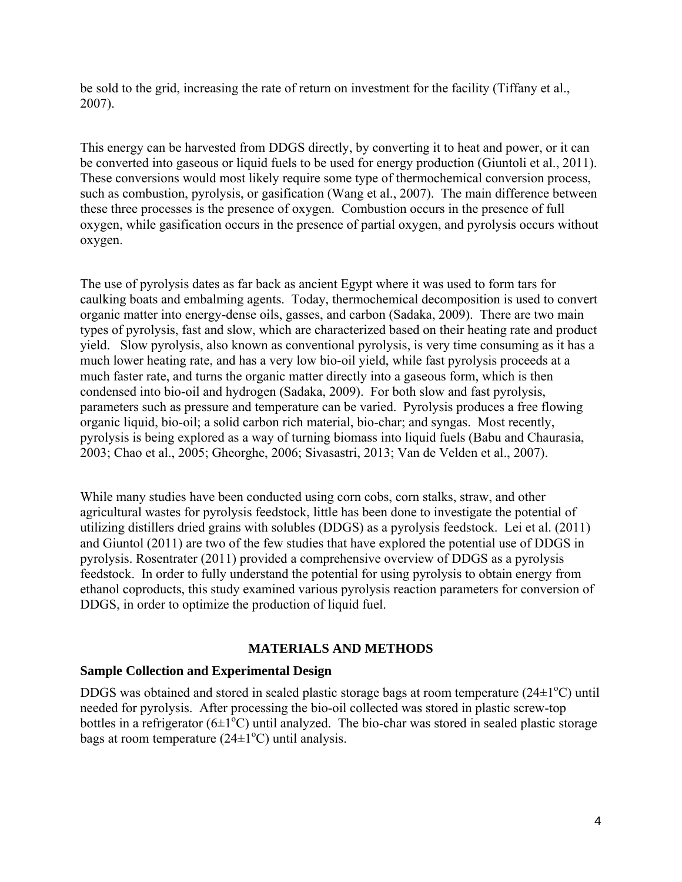be sold to the grid, increasing the rate of return on investment for the facility (Tiffany et al., 2007).

This energy can be harvested from DDGS directly, by converting it to heat and power, or it can be converted into gaseous or liquid fuels to be used for energy production (Giuntoli et al., 2011). These conversions would most likely require some type of thermochemical conversion process, such as combustion, pyrolysis, or gasification (Wang et al., 2007). The main difference between these three processes is the presence of oxygen. Combustion occurs in the presence of full oxygen, while gasification occurs in the presence of partial oxygen, and pyrolysis occurs without oxygen.

The use of pyrolysis dates as far back as ancient Egypt where it was used to form tars for caulking boats and embalming agents. Today, thermochemical decomposition is used to convert organic matter into energy-dense oils, gasses, and carbon (Sadaka, 2009). There are two main types of pyrolysis, fast and slow, which are characterized based on their heating rate and product yield. Slow pyrolysis, also known as conventional pyrolysis, is very time consuming as it has a much lower heating rate, and has a very low bio-oil yield, while fast pyrolysis proceeds at a much faster rate, and turns the organic matter directly into a gaseous form, which is then condensed into bio-oil and hydrogen (Sadaka, 2009). For both slow and fast pyrolysis, parameters such as pressure and temperature can be varied. Pyrolysis produces a free flowing organic liquid, bio-oil; a solid carbon rich material, bio-char; and syngas. Most recently, pyrolysis is being explored as a way of turning biomass into liquid fuels (Babu and Chaurasia, 2003; Chao et al., 2005; Gheorghe, 2006; Sivasastri, 2013; Van de Velden et al., 2007).

While many studies have been conducted using corn cobs, corn stalks, straw, and other agricultural wastes for pyrolysis feedstock, little has been done to investigate the potential of utilizing distillers dried grains with solubles (DDGS) as a pyrolysis feedstock. Lei et al. (2011) and Giuntol (2011) are two of the few studies that have explored the potential use of DDGS in pyrolysis. Rosentrater (2011) provided a comprehensive overview of DDGS as a pyrolysis feedstock. In order to fully understand the potential for using pyrolysis to obtain energy from ethanol coproducts, this study examined various pyrolysis reaction parameters for conversion of DDGS, in order to optimize the production of liquid fuel.

# **MATERIALS AND METHODS**

# **Sample Collection and Experimental Design**

DDGS was obtained and stored in sealed plastic storage bags at room temperature  $(24\pm1\textdegree C)$  until needed for pyrolysis. After processing the bio-oil collected was stored in plastic screw-top bottles in a refrigerator  $(6\pm1^{\circ}C)$  until analyzed. The bio-char was stored in sealed plastic storage bags at room temperature  $(24\pm 1^{\circ}C)$  until analysis.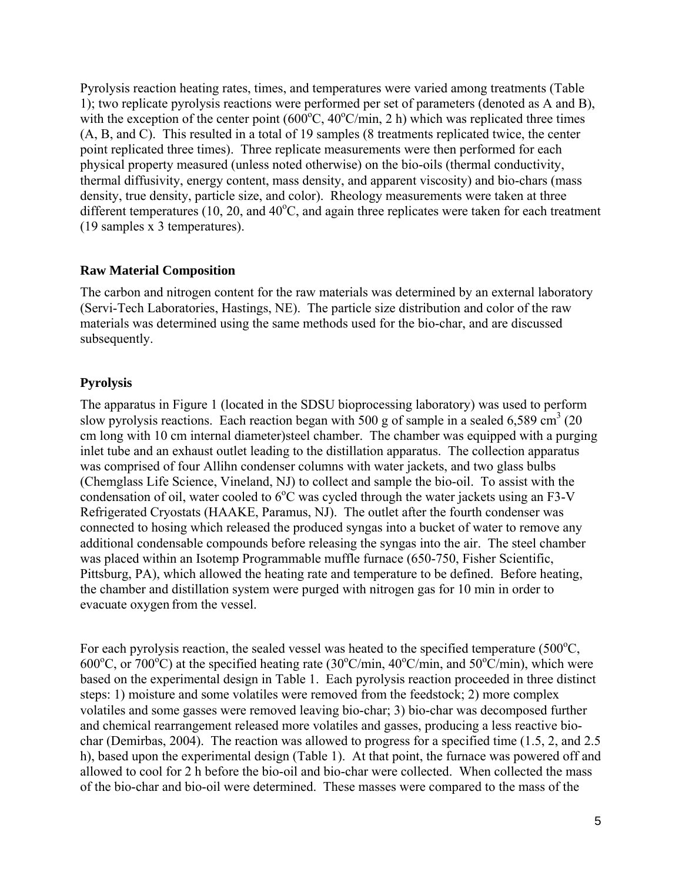Pyrolysis reaction heating rates, times, and temperatures were varied among treatments (Table 1); two replicate pyrolysis reactions were performed per set of parameters (denoted as A and B), with the exception of the center point  $(600^{\circ}C, 40^{\circ}C/\text{min}, 2 \text{ h})$  which was replicated three times (A, B, and C). This resulted in a total of 19 samples (8 treatments replicated twice, the center point replicated three times). Three replicate measurements were then performed for each physical property measured (unless noted otherwise) on the bio-oils (thermal conductivity, thermal diffusivity, energy content, mass density, and apparent viscosity) and bio-chars (mass density, true density, particle size, and color). Rheology measurements were taken at three different temperatures  $(10, 20,$  and  $40^{\circ}$ C, and again three replicates were taken for each treatment (19 samples x 3 temperatures).

## **Raw Material Composition**

The carbon and nitrogen content for the raw materials was determined by an external laboratory (Servi-Tech Laboratories, Hastings, NE). The particle size distribution and color of the raw materials was determined using the same methods used for the bio-char, and are discussed subsequently.

# **Pyrolysis**

The apparatus in Figure 1 (located in the SDSU bioprocessing laboratory) was used to perform slow pyrolysis reactions. Each reaction began with 500 g of sample in a sealed 6,589 cm<sup>3</sup> (20) cm long with 10 cm internal diameter)steel chamber. The chamber was equipped with a purging inlet tube and an exhaust outlet leading to the distillation apparatus. The collection apparatus was comprised of four Allihn condenser columns with water jackets, and two glass bulbs (Chemglass Life Science, Vineland, NJ) to collect and sample the bio-oil. To assist with the condensation of oil, water cooled to  $6^{\circ}$ C was cycled through the water jackets using an F3-V Refrigerated Cryostats (HAAKE, Paramus, NJ). The outlet after the fourth condenser was connected to hosing which released the produced syngas into a bucket of water to remove any additional condensable compounds before releasing the syngas into the air. The steel chamber was placed within an Isotemp Programmable muffle furnace (650-750, Fisher Scientific, Pittsburg, PA), which allowed the heating rate and temperature to be defined. Before heating, the chamber and distillation system were purged with nitrogen gas for 10 min in order to evacuate oxygen from the vessel.

For each pyrolysis reaction, the sealed vessel was heated to the specified temperature  $(500^{\circ}C,$ 600°C, or  $700^{\circ}$ C) at the specified heating rate (30°C/min, 40°C/min, and 50°C/min), which were based on the experimental design in Table 1. Each pyrolysis reaction proceeded in three distinct steps: 1) moisture and some volatiles were removed from the feedstock; 2) more complex volatiles and some gasses were removed leaving bio-char; 3) bio-char was decomposed further and chemical rearrangement released more volatiles and gasses, producing a less reactive biochar (Demirbas, 2004). The reaction was allowed to progress for a specified time (1.5, 2, and 2.5 h), based upon the experimental design (Table 1). At that point, the furnace was powered off and allowed to cool for 2 h before the bio-oil and bio-char were collected. When collected the mass of the bio-char and bio-oil were determined. These masses were compared to the mass of the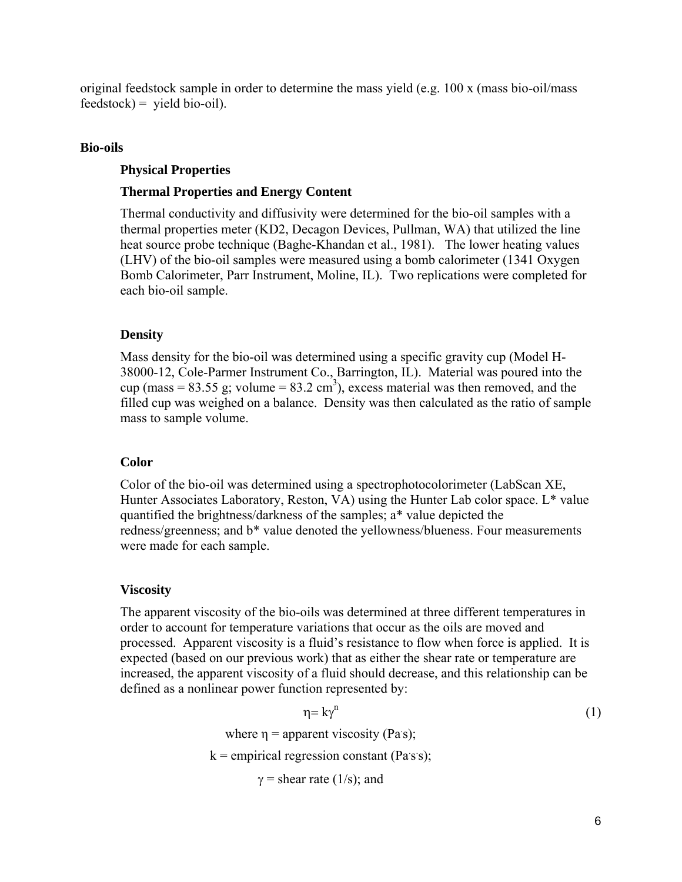original feedstock sample in order to determine the mass yield (e.g. 100 x (mass bio-oil/mass  $feedback$ ) = yield bio-oil).

## **Bio-oils**

## **Physical Properties**

## **Thermal Properties and Energy Content**

Thermal conductivity and diffusivity were determined for the bio-oil samples with a thermal properties meter (KD2, Decagon Devices, Pullman, WA) that utilized the line heat source probe technique (Baghe-Khandan et al., 1981). The lower heating values (LHV) of the bio-oil samples were measured using a bomb calorimeter (1341 Oxygen Bomb Calorimeter, Parr Instrument, Moline, IL). Two replications were completed for each bio-oil sample.

## **Density**

Mass density for the bio-oil was determined using a specific gravity cup (Model H-38000-12, Cole-Parmer Instrument Co., Barrington, IL). Material was poured into the cup (mass = 83.55 g; volume = 83.2 cm<sup>3</sup>), excess material was then removed, and the filled cup was weighed on a balance. Density was then calculated as the ratio of sample mass to sample volume.

## **Color**

Color of the bio-oil was determined using a spectrophotocolorimeter (LabScan XE, Hunter Associates Laboratory, Reston, VA) using the Hunter Lab color space. L\* value quantified the brightness/darkness of the samples; a\* value depicted the redness/greenness; and b\* value denoted the yellowness/blueness. Four measurements were made for each sample.

# **Viscosity**

The apparent viscosity of the bio-oils was determined at three different temperatures in order to account for temperature variations that occur as the oils are moved and processed. Apparent viscosity is a fluid's resistance to flow when force is applied. It is expected (based on our previous work) that as either the shear rate or temperature are increased, the apparent viscosity of a fluid should decrease, and this relationship can be defined as a nonlinear power function represented by:

$$
\eta = k\gamma^{n}
$$
\n(1)

\nwhere  $\eta$  = apparent viscosity (Pas);

\nk = empirical regression constant (Pars);

\n $\gamma$  = shear rate (1/s); and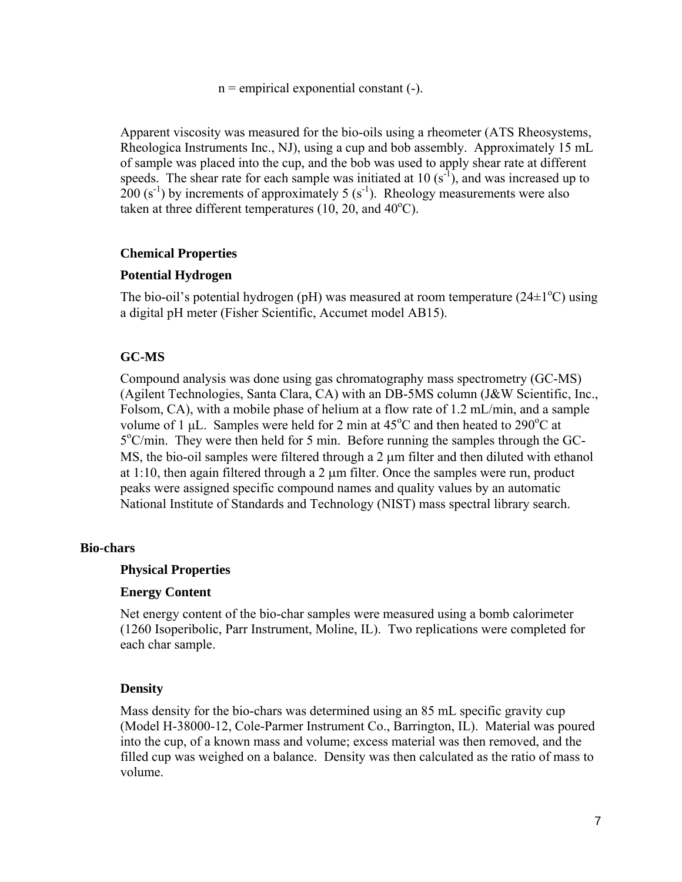$n =$  empirical exponential constant  $(-)$ .

Apparent viscosity was measured for the bio-oils using a rheometer (ATS Rheosystems, Rheologica Instruments Inc., NJ), using a cup and bob assembly. Approximately 15 mL of sample was placed into the cup, and the bob was used to apply shear rate at different speeds. The shear rate for each sample was initiated at 10  $(s^{-1})$ , and was increased up to  $200 (s<sup>-1</sup>)$  by increments of approximately 5 (s<sup>-1</sup>). Rheology measurements were also taken at three different temperatures  $(10, 20,$  and  $40^{\circ}$ C).

## **Chemical Properties**

## **Potential Hydrogen**

The bio-oil's potential hydrogen (pH) was measured at room temperature  $(24\pm1\textsuperscript{o}C)$  using a digital pH meter (Fisher Scientific, Accumet model AB15).

## **GC-MS**

Compound analysis was done using gas chromatography mass spectrometry (GC-MS) (Agilent Technologies, Santa Clara, CA) with an DB-5MS column (J&W Scientific, Inc., Folsom, CA), with a mobile phase of helium at a flow rate of 1.2 mL/min, and a sample volume of 1  $\mu$ L. Samples were held for 2 min at 45°C and then heated to 290°C at 5<sup>o</sup>C/min. They were then held for 5 min. Before running the samples through the GC-MS, the bio-oil samples were filtered through a 2  $\mu$ m filter and then diluted with ethanol at  $1:10$ , then again filtered through a 2  $\mu$ m filter. Once the samples were run, product peaks were assigned specific compound names and quality values by an automatic National Institute of Standards and Technology (NIST) mass spectral library search.

#### **Bio-chars**

#### **Physical Properties**

#### **Energy Content**

Net energy content of the bio-char samples were measured using a bomb calorimeter (1260 Isoperibolic, Parr Instrument, Moline, IL). Two replications were completed for each char sample.

## **Density**

Mass density for the bio-chars was determined using an 85 mL specific gravity cup (Model H-38000-12, Cole-Parmer Instrument Co., Barrington, IL). Material was poured into the cup, of a known mass and volume; excess material was then removed, and the filled cup was weighed on a balance. Density was then calculated as the ratio of mass to volume.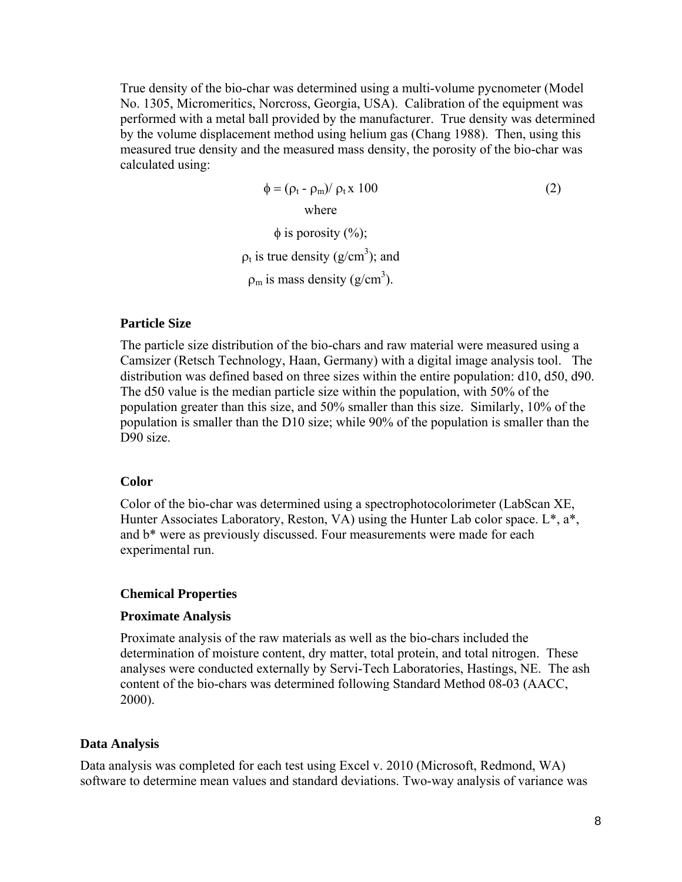True density of the bio-char was determined using a multi-volume pycnometer (Model No. 1305, Micromeritics, Norcross, Georgia, USA). Calibration of the equipment was performed with a metal ball provided by the manufacturer. True density was determined by the volume displacement method using helium gas (Chang 1988). Then, using this measured true density and the measured mass density, the porosity of the bio-char was calculated using:

> $\phi = (\rho_t - \rho_m)/\rho_t x 100$  (2) where  $\phi$  is porosity  $(\%);$  $\rho_t$  is true density (g/cm<sup>3</sup>); and

 $\rho_m$  is mass density (g/cm<sup>3</sup>).

#### **Particle Size**

The particle size distribution of the bio-chars and raw material were measured using a Camsizer (Retsch Technology, Haan, Germany) with a digital image analysis tool. The distribution was defined based on three sizes within the entire population: d10, d50, d90. The d50 value is the median particle size within the population, with 50% of the population greater than this size, and 50% smaller than this size. Similarly, 10% of the population is smaller than the D10 size; while 90% of the population is smaller than the D90 size.

#### **Color**

Color of the bio-char was determined using a spectrophotocolorimeter (LabScan XE, Hunter Associates Laboratory, Reston, VA) using the Hunter Lab color space. L\*, a\*, and b\* were as previously discussed. Four measurements were made for each experimental run.

#### **Chemical Properties**

#### **Proximate Analysis**

Proximate analysis of the raw materials as well as the bio-chars included the determination of moisture content, dry matter, total protein, and total nitrogen. These analyses were conducted externally by Servi-Tech Laboratories, Hastings, NE. The ash content of the bio-chars was determined following Standard Method 08-03 (AACC, 2000).

#### **Data Analysis**

Data analysis was completed for each test using Excel v. 2010 (Microsoft, Redmond, WA) software to determine mean values and standard deviations. Two-way analysis of variance was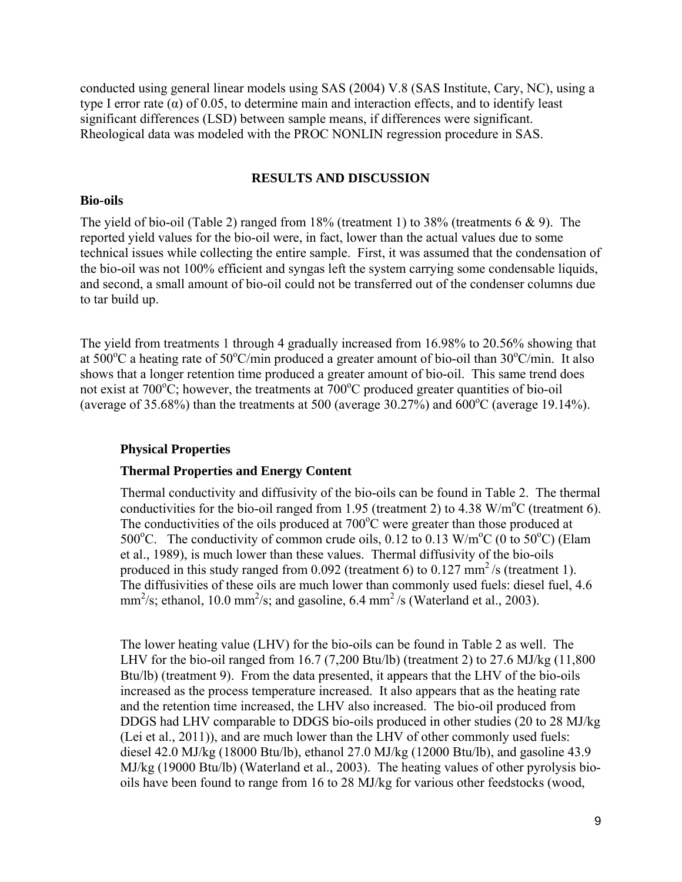conducted using general linear models using SAS (2004) V.8 (SAS Institute, Cary, NC), using a type I error rate (α) of 0.05, to determine main and interaction effects, and to identify least significant differences (LSD) between sample means, if differences were significant. Rheological data was modeled with the PROC NONLIN regression procedure in SAS.

#### **RESULTS AND DISCUSSION**

#### **Bio-oils**

The yield of bio-oil (Table 2) ranged from 18% (treatment 1) to 38% (treatments  $6 \& 9$ ). The reported yield values for the bio-oil were, in fact, lower than the actual values due to some technical issues while collecting the entire sample. First, it was assumed that the condensation of the bio-oil was not 100% efficient and syngas left the system carrying some condensable liquids, and second, a small amount of bio-oil could not be transferred out of the condenser columns due to tar build up.

The yield from treatments 1 through 4 gradually increased from 16.98% to 20.56% showing that at  $500^{\circ}$ C a heating rate of  $50^{\circ}$ C/min produced a greater amount of bio-oil than  $30^{\circ}$ C/min. It also shows that a longer retention time produced a greater amount of bio-oil. This same trend does not exist at  $700^{\circ}$ C; however, the treatments at  $700^{\circ}$ C produced greater quantities of bio-oil (average of 35.68%) than the treatments at 500 (average 30.27%) and  $\overline{600^{\circ}}$ C (average 19.14%).

#### **Physical Properties**

#### **Thermal Properties and Energy Content**

Thermal conductivity and diffusivity of the bio-oils can be found in Table 2. The thermal conductivities for the bio-oil ranged from 1.95 (treatment 2) to 4.38 W/m<sup>o</sup>C (treatment 6). The conductivities of the oils produced at  $700^{\circ}$ C were greater than those produced at 500°C. The conductivity of common crude oils,  $0.12$  to  $0.13$  W/m<sup>o</sup>C (0 to 50°C) (Elam et al., 1989), is much lower than these values. Thermal diffusivity of the bio-oils produced in this study ranged from 0.092 (treatment 6) to 0.127 mm<sup>2</sup>/s (treatment 1). The diffusivities of these oils are much lower than commonly used fuels: diesel fuel, 4.6  $mm^2/s$ ; ethanol, 10.0 mm<sup>2</sup>/s; and gasoline, 6.4 mm<sup>2</sup>/s (Waterland et al., 2003).

The lower heating value (LHV) for the bio-oils can be found in Table 2 as well. The LHV for the bio-oil ranged from 16.7 (7,200 Btu/lb) (treatment 2) to 27.6 MJ/kg (11,800 Btu/lb) (treatment 9). From the data presented, it appears that the LHV of the bio-oils increased as the process temperature increased. It also appears that as the heating rate and the retention time increased, the LHV also increased. The bio-oil produced from DDGS had LHV comparable to DDGS bio-oils produced in other studies (20 to 28 MJ/kg (Lei et al., 2011)), and are much lower than the LHV of other commonly used fuels: diesel 42.0 MJ/kg (18000 Btu/lb), ethanol 27.0 MJ/kg (12000 Btu/lb), and gasoline 43.9 MJ/kg (19000 Btu/lb) (Waterland et al., 2003). The heating values of other pyrolysis biooils have been found to range from 16 to 28 MJ/kg for various other feedstocks (wood,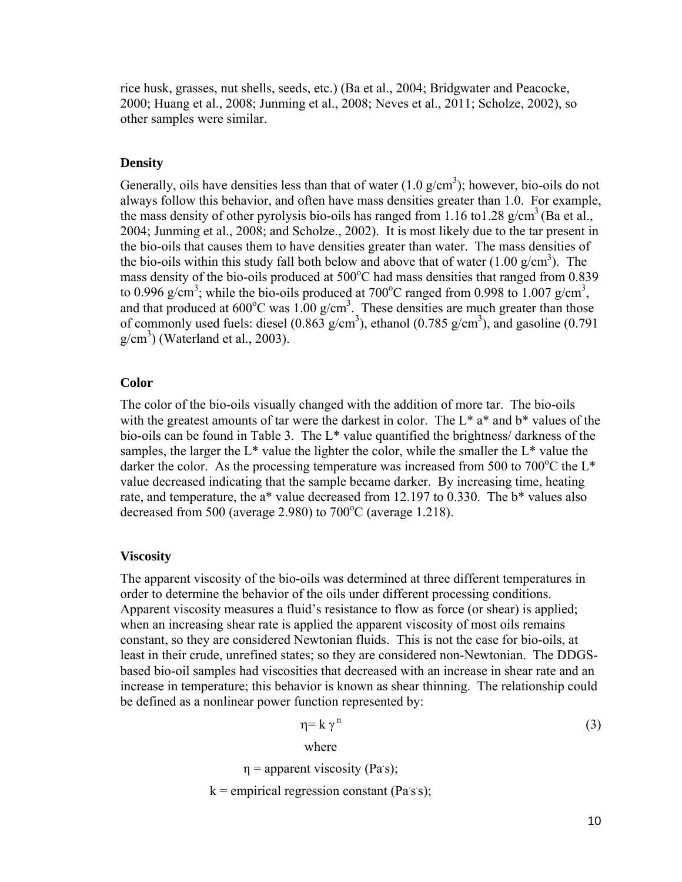rice husk, grasses, nut shells, seeds, etc.) (Ba et al., 2004; Bridgwater and Peacocke, 2000; Huang et al., 2008; Junming et al., 2008; Neves et al., 2011; Scholze, 2002), so other samples were similar.

## **Density**

Generally, oils have densities less than that of water  $(1.0 \text{ g/cm}^3)$ ; however, bio-oils do not always follow this behavior, and often have mass densities greater than 1.0. For example, the mass density of other pyrolysis bio-oils has ranged from 1.16 to1.28  $g/cm^3$  (Ba et al., 2004; Junming et al., 2008; and Scholze., 2002). It is most likely due to the tar present in the bio-oils that causes them to have densities greater than water. The mass densities of the bio-oils within this study fall both below and above that of water  $(1.00 \text{ g/cm}^3)$ . The mass density of the bio-oils produced at 500°C had mass densities that ranged from 0.839 to 0.996 g/cm<sup>3</sup>; while the bio-oils produced at 700<sup>o</sup>C ranged from 0.998 to 1.007 g/cm<sup>3</sup>, and that produced at  $600^{\circ}$ C was  $1.00$  g/cm<sup>3</sup>. These densities are much greater than those of commonly used fuels: diesel  $(0.863 \text{ g/cm}^3)$ , ethanol  $(0.785 \text{ g/cm}^3)$ , and gasoline  $(0.791 \text{ g/cm}^3)$  $g/cm<sup>3</sup>$ ) (Waterland et al., 2003).

## **Color**

The color of the bio-oils visually changed with the addition of more tar. The bio-oils with the greatest amounts of tar were the darkest in color. The  $L^*$  a<sup>\*</sup> and  $b^*$  values of the bio-oils can be found in Table 3. The L\* value quantified the brightness/ darkness of the samples, the larger the  $L^*$  value the lighter the color, while the smaller the  $L^*$  value the darker the color. As the processing temperature was increased from 500 to 700 $^{\circ}$ C the L<sup>\*</sup> value decreased indicating that the sample became darker. By increasing time, heating rate, and temperature, the a<sup>\*</sup> value decreased from 12.197 to 0.330. The b<sup>\*</sup> values also decreased from 500 (average 2.980) to  $700^{\circ}$ C (average 1.218).

#### **Viscosity**

The apparent viscosity of the bio-oils was determined at three different temperatures in order to determine the behavior of the oils under different processing conditions. Apparent viscosity measures a fluid's resistance to flow as force (or shear) is applied; when an increasing shear rate is applied the apparent viscosity of most oils remains constant, so they are considered Newtonian fluids. This is not the case for bio-oils, at least in their crude, unrefined states; so they are considered non-Newtonian. The DDGSbased bio-oil samples had viscosities that decreased with an increase in shear rate and an increase in temperature; this behavior is known as shear thinning. The relationship could be defined as a nonlinear power function represented by:

$$
\eta = k \, \gamma^n \tag{3}
$$

where

$$
\eta
$$
 = apparent viscosity (Pa's);

 $k =$  empirical regression constant (Pass);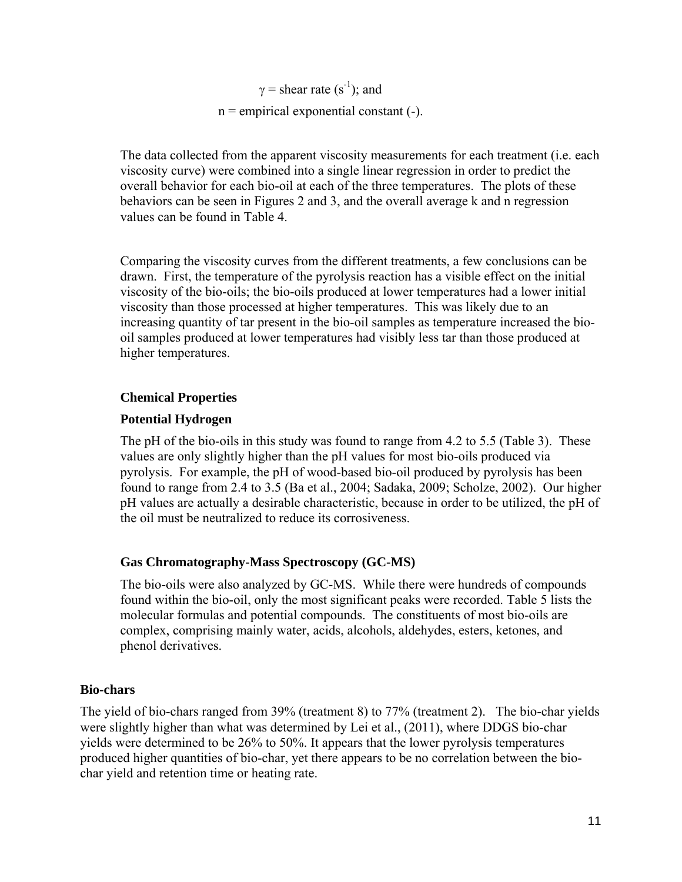$\gamma$  = shear rate (s<sup>-1</sup>); and  $n =$  empirical exponential constant  $(-)$ .

The data collected from the apparent viscosity measurements for each treatment (i.e. each viscosity curve) were combined into a single linear regression in order to predict the overall behavior for each bio-oil at each of the three temperatures. The plots of these behaviors can be seen in Figures 2 and 3, and the overall average k and n regression values can be found in Table 4.

Comparing the viscosity curves from the different treatments, a few conclusions can be drawn. First, the temperature of the pyrolysis reaction has a visible effect on the initial viscosity of the bio-oils; the bio-oils produced at lower temperatures had a lower initial viscosity than those processed at higher temperatures. This was likely due to an increasing quantity of tar present in the bio-oil samples as temperature increased the biooil samples produced at lower temperatures had visibly less tar than those produced at higher temperatures.

## **Chemical Properties**

## **Potential Hydrogen**

The pH of the bio-oils in this study was found to range from 4.2 to 5.5 (Table 3). These values are only slightly higher than the pH values for most bio-oils produced via pyrolysis. For example, the pH of wood-based bio-oil produced by pyrolysis has been found to range from 2.4 to 3.5 (Ba et al., 2004; Sadaka, 2009; Scholze, 2002). Our higher pH values are actually a desirable characteristic, because in order to be utilized, the pH of the oil must be neutralized to reduce its corrosiveness.

# **Gas Chromatography-Mass Spectroscopy (GC-MS)**

The bio-oils were also analyzed by GC-MS. While there were hundreds of compounds found within the bio-oil, only the most significant peaks were recorded. Table 5 lists the molecular formulas and potential compounds. The constituents of most bio-oils are complex, comprising mainly water, acids, alcohols, aldehydes, esters, ketones, and phenol derivatives.

## **Bio-chars**

The yield of bio-chars ranged from 39% (treatment 8) to 77% (treatment 2). The bio-char yields were slightly higher than what was determined by Lei et al., (2011), where DDGS bio-char yields were determined to be 26% to 50%. It appears that the lower pyrolysis temperatures produced higher quantities of bio-char, yet there appears to be no correlation between the biochar yield and retention time or heating rate.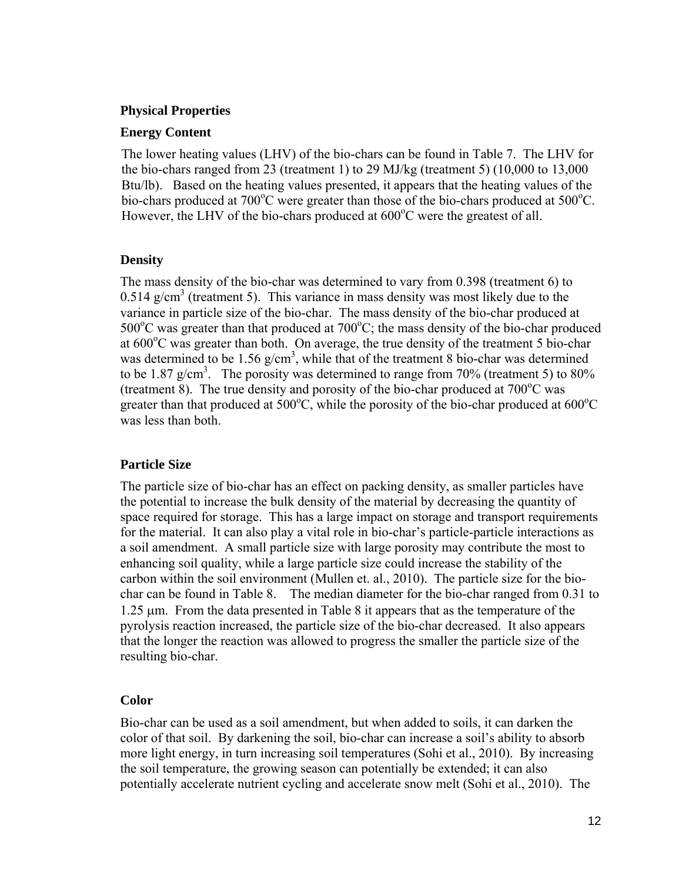## **Physical Properties**

#### **Energy Content**

The lower heating values (LHV) of the bio-chars can be found in Table 7. The LHV for the bio-chars ranged from 23 (treatment 1) to 29 MJ/kg (treatment 5) (10,000 to 13,000 Btu/lb). Based on the heating values presented, it appears that the heating values of the bio-chars produced at 700°C were greater than those of the bio-chars produced at 500°C. However, the LHV of the bio-chars produced at 600°C were the greatest of all.

## **Density**

The mass density of the bio-char was determined to vary from 0.398 (treatment 6) to  $0.514$  g/cm<sup>3</sup> (treatment 5). This variance in mass density was most likely due to the variance in particle size of the bio-char. The mass density of the bio-char produced at 500 $\degree$ C was greater than that produced at 700 $\degree$ C; the mass density of the bio-char produced at  $600^{\circ}$ C was greater than both. On average, the true density of the treatment 5 bio-char was determined to be  $1.56$  g/cm<sup>3</sup>, while that of the treatment 8 bio-char was determined to be 1.87 g/cm<sup>3</sup>. The porosity was determined to range from 70% (treatment 5) to 80% (treatment 8). The true density and porosity of the bio-char produced at  $700^{\circ}$ C was greater than that produced at  $500^{\circ}$ C, while the porosity of the bio-char produced at  $600^{\circ}$ C was less than both.

## **Particle Size**

The particle size of bio-char has an effect on packing density, as smaller particles have the potential to increase the bulk density of the material by decreasing the quantity of space required for storage. This has a large impact on storage and transport requirements for the material. It can also play a vital role in bio-char's particle-particle interactions as a soil amendment. A small particle size with large porosity may contribute the most to enhancing soil quality, while a large particle size could increase the stability of the carbon within the soil environment (Mullen et. al., 2010). The particle size for the biochar can be found in Table 8. The median diameter for the bio-char ranged from 0.31 to 1.25 m. From the data presented in Table 8 it appears that as the temperature of the pyrolysis reaction increased, the particle size of the bio-char decreased. It also appears that the longer the reaction was allowed to progress the smaller the particle size of the resulting bio-char.

## **Color**

Bio-char can be used as a soil amendment, but when added to soils, it can darken the color of that soil. By darkening the soil, bio-char can increase a soil's ability to absorb more light energy, in turn increasing soil temperatures (Sohi et al., 2010). By increasing the soil temperature, the growing season can potentially be extended; it can also potentially accelerate nutrient cycling and accelerate snow melt (Sohi et al., 2010). The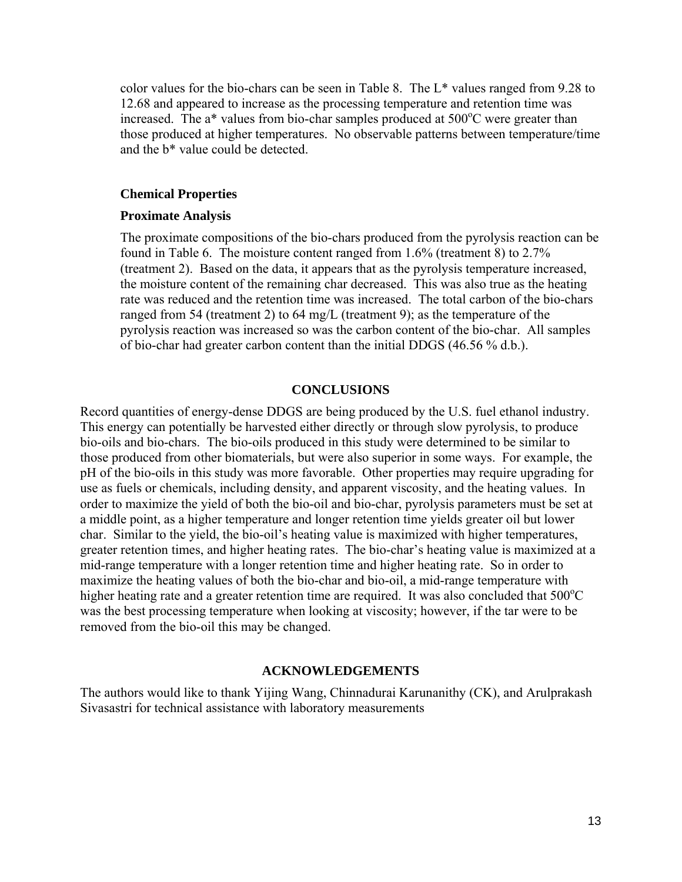color values for the bio-chars can be seen in Table 8. The L\* values ranged from 9.28 to 12.68 and appeared to increase as the processing temperature and retention time was increased. The  $a^*$  values from bio-char samples produced at 500 $^{\circ}$ C were greater than those produced at higher temperatures. No observable patterns between temperature/time and the b\* value could be detected.

#### **Chemical Properties**

#### **Proximate Analysis**

The proximate compositions of the bio-chars produced from the pyrolysis reaction can be found in Table 6. The moisture content ranged from 1.6% (treatment 8) to 2.7% (treatment 2). Based on the data, it appears that as the pyrolysis temperature increased, the moisture content of the remaining char decreased. This was also true as the heating rate was reduced and the retention time was increased. The total carbon of the bio-chars ranged from 54 (treatment 2) to 64 mg/L (treatment 9); as the temperature of the pyrolysis reaction was increased so was the carbon content of the bio-char. All samples of bio-char had greater carbon content than the initial DDGS (46.56 % d.b.).

#### **CONCLUSIONS**

Record quantities of energy-dense DDGS are being produced by the U.S. fuel ethanol industry. This energy can potentially be harvested either directly or through slow pyrolysis, to produce bio-oils and bio-chars. The bio-oils produced in this study were determined to be similar to those produced from other biomaterials, but were also superior in some ways. For example, the pH of the bio-oils in this study was more favorable. Other properties may require upgrading for use as fuels or chemicals, including density, and apparent viscosity, and the heating values. In order to maximize the yield of both the bio-oil and bio-char, pyrolysis parameters must be set at a middle point, as a higher temperature and longer retention time yields greater oil but lower char. Similar to the yield, the bio-oil's heating value is maximized with higher temperatures, greater retention times, and higher heating rates. The bio-char's heating value is maximized at a mid-range temperature with a longer retention time and higher heating rate. So in order to maximize the heating values of both the bio-char and bio-oil, a mid-range temperature with higher heating rate and a greater retention time are required. It was also concluded that 500°C was the best processing temperature when looking at viscosity; however, if the tar were to be removed from the bio-oil this may be changed.

#### **ACKNOWLEDGEMENTS**

The authors would like to thank Yijing Wang, Chinnadurai Karunanithy (CK), and Arulprakash Sivasastri for technical assistance with laboratory measurements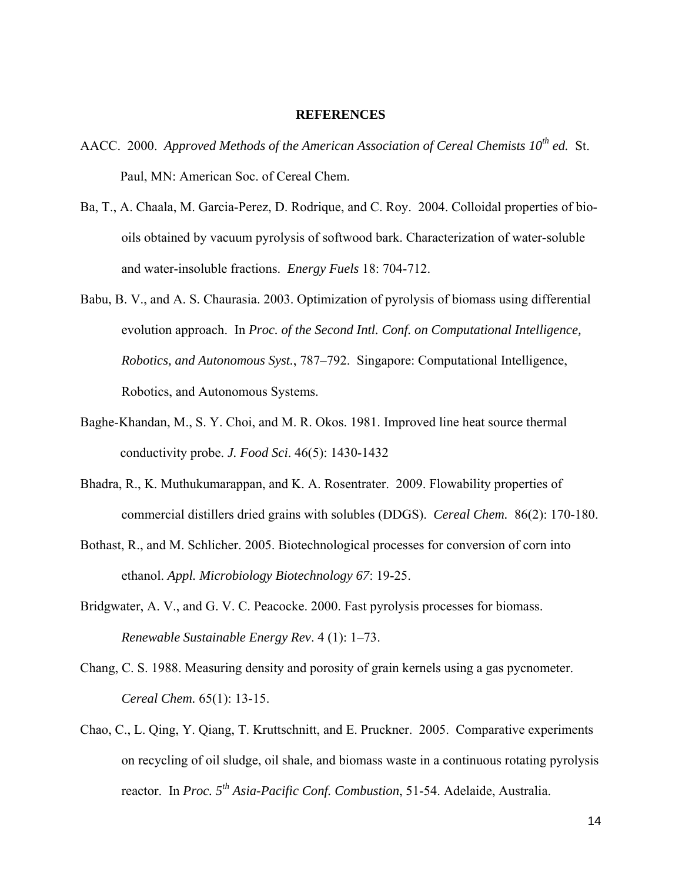#### **REFERENCES**

- AACC. 2000. *Approved Methods of the American Association of Cereal Chemists 10th ed.* St. Paul, MN: American Soc. of Cereal Chem.
- Ba, T., A. Chaala, M. Garcia-Perez, D. Rodrique, and C. Roy. 2004. Colloidal properties of biooils obtained by vacuum pyrolysis of softwood bark. Characterization of water-soluble and water-insoluble fractions. *Energy Fuels* 18: 704-712.
- Babu, B. V., and A. S. Chaurasia. 2003. Optimization of pyrolysis of biomass using differential evolution approach. In *Proc. of the Second Intl. Conf. on Computational Intelligence, Robotics, and Autonomous Syst.*, 787–792. Singapore: Computational Intelligence, Robotics, and Autonomous Systems.
- Baghe-Khandan, M., S. Y. Choi, and M. R. Okos. 1981. Improved line heat source thermal conductivity probe. *J. Food Sci*. 46(5): 1430-1432
- Bhadra, R., K. Muthukumarappan, and K. A. Rosentrater. 2009. Flowability properties of commercial distillers dried grains with solubles (DDGS). *Cereal Chem.* 86(2): 170-180.
- Bothast, R., and M. Schlicher. 2005. Biotechnological processes for conversion of corn into ethanol. *Appl. Microbiology Biotechnology 67*: 19-25.
- Bridgwater, A. V., and G. V. C. Peacocke. 2000. Fast pyrolysis processes for biomass. *Renewable Sustainable Energy Rev*. 4 (1): 1–73.
- Chang, C. S. 1988. Measuring density and porosity of grain kernels using a gas pycnometer. *Cereal Chem.* 65(1): 13-15.
- Chao, C., L. Qing, Y. Qiang, T. Kruttschnitt, and E. Pruckner. 2005. Comparative experiments on recycling of oil sludge, oil shale, and biomass waste in a continuous rotating pyrolysis reactor. In *Proc. 5th Asia-Pacific Conf. Combustion*, 51-54. Adelaide, Australia.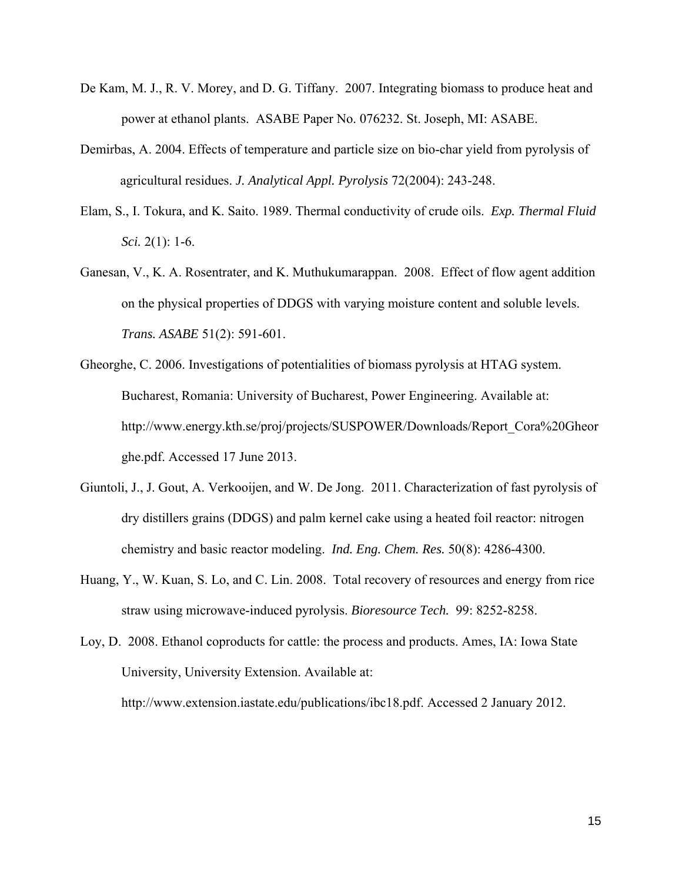- De Kam, M. J., R. V. Morey, and D. G. Tiffany. 2007. Integrating biomass to produce heat and power at ethanol plants. ASABE Paper No. 076232. St. Joseph, MI: ASABE.
- Demirbas, A. 2004. Effects of temperature and particle size on bio-char yield from pyrolysis of agricultural residues. *J. Analytical Appl. Pyrolysis* 72(2004): 243-248.
- Elam, S., I. Tokura, and K. Saito. 1989. Thermal conductivity of crude oils. *Exp. Thermal Fluid Sci.* 2(1): 1-6.
- Ganesan, V., K. A. Rosentrater, and K. Muthukumarappan. 2008. Effect of flow agent addition on the physical properties of DDGS with varying moisture content and soluble levels. *Trans. ASABE* 51(2): 591-601.
- Gheorghe, C. 2006. Investigations of potentialities of biomass pyrolysis at HTAG system. Bucharest, Romania: University of Bucharest, Power Engineering. Available at: http://www.energy.kth.se/proj/projects/SUSPOWER/Downloads/Report\_Cora%20Gheor ghe.pdf. Accessed 17 June 2013.
- Giuntoli, J., J. Gout, A. Verkooijen, and W. De Jong. 2011. Characterization of fast pyrolysis of dry distillers grains (DDGS) and palm kernel cake using a heated foil reactor: nitrogen chemistry and basic reactor modeling. *Ind. Eng. Chem. Res.* 50(8): 4286-4300.
- Huang, Y., W. Kuan, S. Lo, and C. Lin. 2008. Total recovery of resources and energy from rice straw using microwave-induced pyrolysis. *Bioresource Tech.* 99: 8252-8258.
- Loy, D. 2008. Ethanol coproducts for cattle: the process and products. Ames, IA: Iowa State University, University Extension. Available at:

http://www.extension.iastate.edu/publications/ibc18.pdf. Accessed 2 January 2012.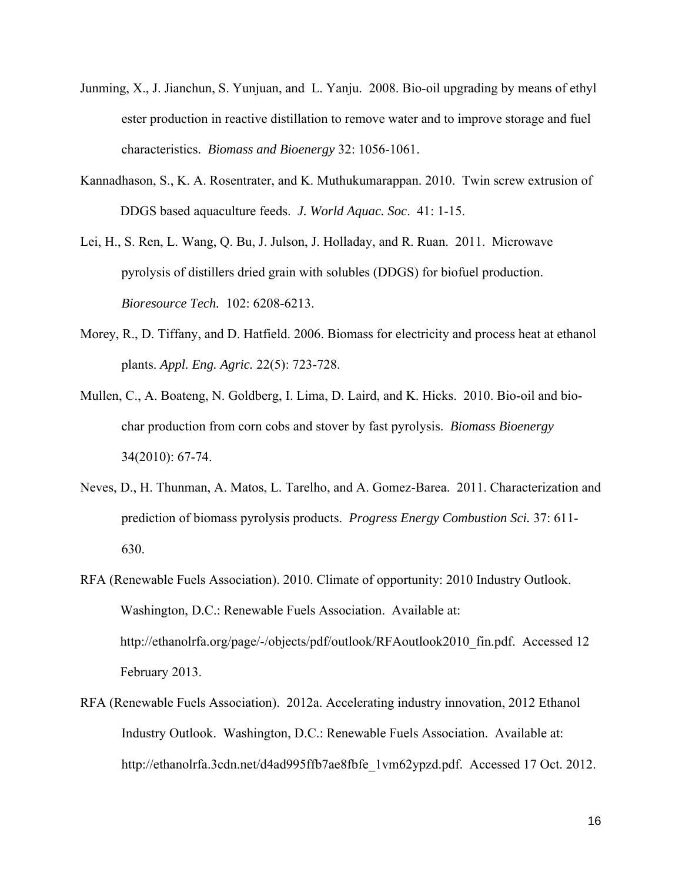- Junming, X., J. Jianchun, S. Yunjuan, and L. Yanju. 2008. Bio-oil upgrading by means of ethyl ester production in reactive distillation to remove water and to improve storage and fuel characteristics. *Biomass and Bioenergy* 32: 1056-1061.
- Kannadhason, S., K. A. Rosentrater, and K. Muthukumarappan. 2010. Twin screw extrusion of DDGS based aquaculture feeds. *J. World Aquac. Soc*. 41: 1-15.
- Lei, H., S. Ren, L. Wang, Q. Bu, J. Julson, J. Holladay, and R. Ruan. 2011. Microwave pyrolysis of distillers dried grain with solubles (DDGS) for biofuel production. *Bioresource Tech.* 102: 6208-6213.
- Morey, R., D. Tiffany, and D. Hatfield. 2006. Biomass for electricity and process heat at ethanol plants. *Appl. Eng. Agric.* 22(5): 723-728.
- Mullen, C., A. Boateng, N. Goldberg, I. Lima, D. Laird, and K. Hicks. 2010. Bio-oil and biochar production from corn cobs and stover by fast pyrolysis. *Biomass Bioenergy*  34(2010): 67-74.
- Neves, D., H. Thunman, A. Matos, L. Tarelho, and A. Gomez-Barea. 2011. Characterization and prediction of biomass pyrolysis products. *Progress Energy Combustion Sci.* 37: 611- 630.
- RFA (Renewable Fuels Association). 2010. Climate of opportunity: 2010 Industry Outlook. Washington, D.C.: Renewable Fuels Association. Available at: http://ethanolrfa.org/page/-/objects/pdf/outlook/RFAoutlook2010 fin.pdf. Accessed 12 February 2013.
- RFA (Renewable Fuels Association). 2012a. Accelerating industry innovation, 2012 Ethanol Industry Outlook. Washington, D.C.: Renewable Fuels Association. Available at: http://ethanolrfa.3cdn.net/d4ad995ffb7ae8fbfe\_1vm62ypzd.pdf. Accessed 17 Oct. 2012.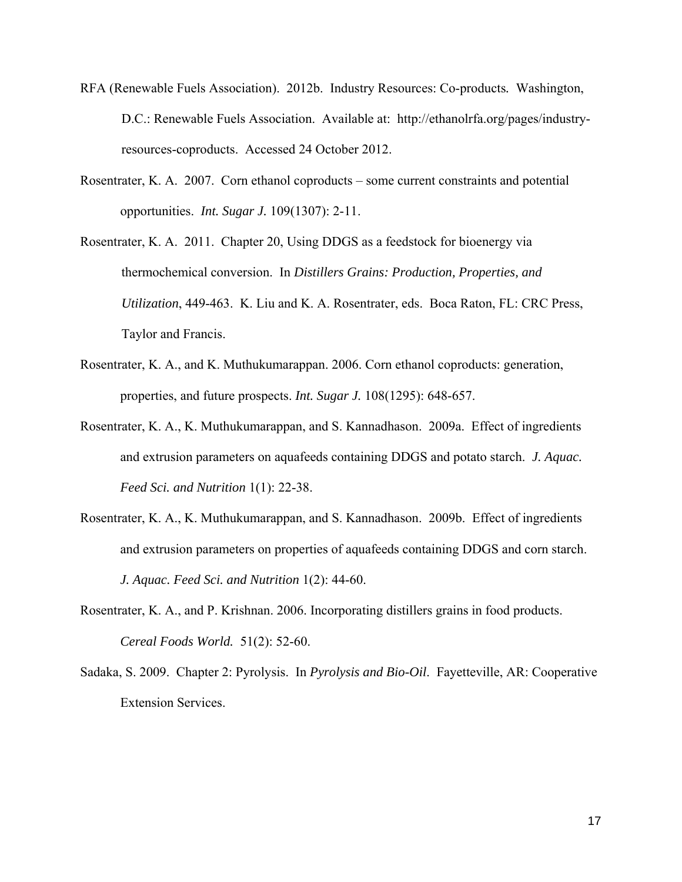- RFA (Renewable Fuels Association). 2012b. Industry Resources: Co-products*.* Washington, D.C.: Renewable Fuels Association. Available at: http://ethanolrfa.org/pages/industryresources-coproducts. Accessed 24 October 2012.
- Rosentrater, K. A. 2007. Corn ethanol coproducts some current constraints and potential opportunities. *Int. Sugar J.* 109(1307): 2-11.
- Rosentrater, K. A. 2011. Chapter 20, Using DDGS as a feedstock for bioenergy via thermochemical conversion. In *Distillers Grains: Production, Properties, and Utilization*, 449-463. K. Liu and K. A. Rosentrater, eds. Boca Raton, FL: CRC Press, Taylor and Francis.
- Rosentrater, K. A., and K. Muthukumarappan. 2006. Corn ethanol coproducts: generation, properties, and future prospects. *Int. Sugar J.* 108(1295): 648-657.
- Rosentrater, K. A., K. Muthukumarappan, and S. Kannadhason. 2009a. Effect of ingredients and extrusion parameters on aquafeeds containing DDGS and potato starch. *J. Aquac. Feed Sci. and Nutrition* 1(1): 22-38.
- Rosentrater, K. A., K. Muthukumarappan, and S. Kannadhason. 2009b. Effect of ingredients and extrusion parameters on properties of aquafeeds containing DDGS and corn starch. *J. Aquac. Feed Sci. and Nutrition* 1(2): 44-60.
- Rosentrater, K. A., and P. Krishnan. 2006. Incorporating distillers grains in food products. *Cereal Foods World.* 51(2): 52-60.
- Sadaka, S. 2009. Chapter 2: Pyrolysis. In *Pyrolysis and Bio-Oil*. Fayetteville, AR: Cooperative Extension Services.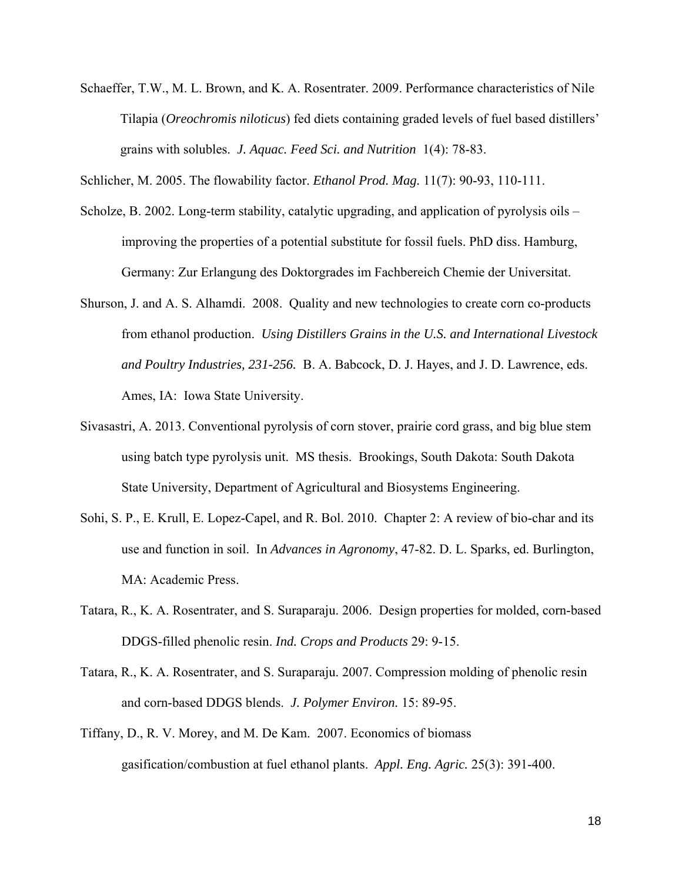Schaeffer, T.W., M. L. Brown, and K. A. Rosentrater. 2009. Performance characteristics of Nile Tilapia (*Oreochromis niloticus*) fed diets containing graded levels of fuel based distillers' grains with solubles. *J. Aquac. Feed Sci. and Nutrition* 1(4): 78-83.

Schlicher, M. 2005. The flowability factor. *Ethanol Prod. Mag.* 11(7): 90-93, 110-111.

- Scholze, B. 2002. Long-term stability, catalytic upgrading, and application of pyrolysis oils improving the properties of a potential substitute for fossil fuels. PhD diss. Hamburg, Germany: Zur Erlangung des Doktorgrades im Fachbereich Chemie der Universitat.
- Shurson, J. and A. S. Alhamdi. 2008. Quality and new technologies to create corn co-products from ethanol production. *Using Distillers Grains in the U.S. and International Livestock and Poultry Industries, 231-256.* B. A. Babcock, D. J. Hayes, and J. D. Lawrence, eds. Ames, IA: Iowa State University.
- Sivasastri, A. 2013. Conventional pyrolysis of corn stover, prairie cord grass, and big blue stem using batch type pyrolysis unit. MS thesis. Brookings, South Dakota: South Dakota State University, Department of Agricultural and Biosystems Engineering.
- Sohi, S. P., E. Krull, E. Lopez-Capel, and R. Bol. 2010. Chapter 2: A review of bio-char and its use and function in soil. In *Advances in Agronomy*, 47-82. D. L. Sparks, ed. Burlington, MA: Academic Press.
- Tatara, R., K. A. Rosentrater, and S. Suraparaju. 2006. Design properties for molded, corn-based DDGS-filled phenolic resin. *Ind. Crops and Products* 29: 9-15.
- Tatara, R., K. A. Rosentrater, and S. Suraparaju. 2007. Compression molding of phenolic resin and corn-based DDGS blends. *J. Polymer Environ.* 15: 89-95.
- Tiffany, D., R. V. Morey, and M. De Kam. 2007. Economics of biomass gasification/combustion at fuel ethanol plants. *Appl. Eng. Agric.* 25(3): 391-400.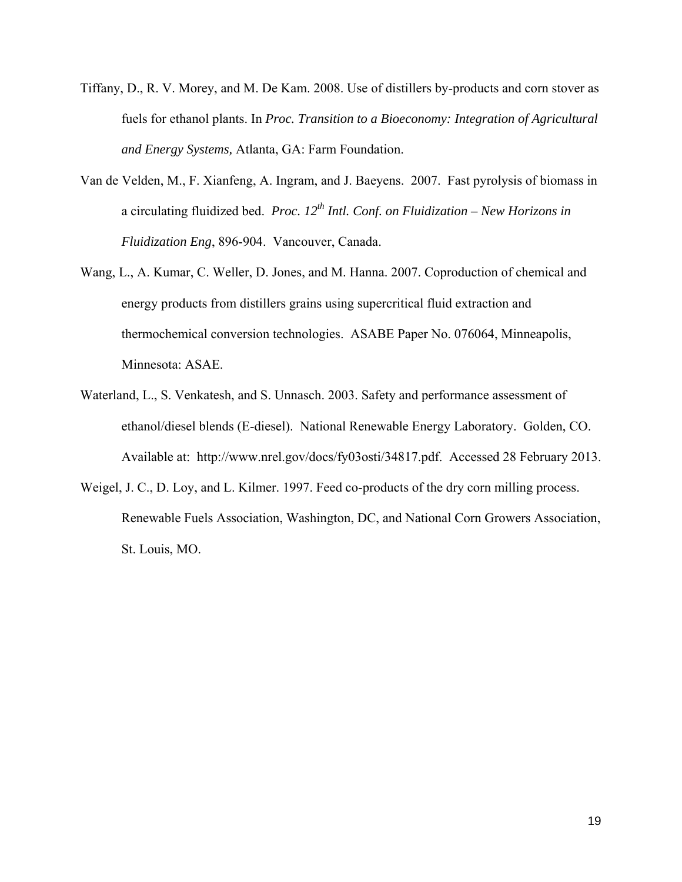- Tiffany, D., R. V. Morey, and M. De Kam. 2008. Use of distillers by-products and corn stover as fuels for ethanol plants. In *Proc. Transition to a Bioeconomy: Integration of Agricultural and Energy Systems,* Atlanta, GA: Farm Foundation.
- Van de Velden, M., F. Xianfeng, A. Ingram, and J. Baeyens. 2007. Fast pyrolysis of biomass in a circulating fluidized bed. *Proc.*  $12^{th}$  *Intl. Conf. on Fluidization – New Horizons in Fluidization Eng*, 896-904. Vancouver, Canada.
- Wang, L., A. Kumar, C. Weller, D. Jones, and M. Hanna. 2007. Coproduction of chemical and energy products from distillers grains using supercritical fluid extraction and thermochemical conversion technologies. ASABE Paper No. 076064, Minneapolis, Minnesota: ASAE.
- Waterland, L., S. Venkatesh, and S. Unnasch. 2003. Safety and performance assessment of ethanol/diesel blends (E-diesel). National Renewable Energy Laboratory. Golden, CO. Available at: http://www.nrel.gov/docs/fy03osti/34817.pdf. Accessed 28 February 2013.
- Weigel, J. C., D. Loy, and L. Kilmer. 1997. Feed co-products of the dry corn milling process. Renewable Fuels Association, Washington, DC, and National Corn Growers Association, St. Louis, MO.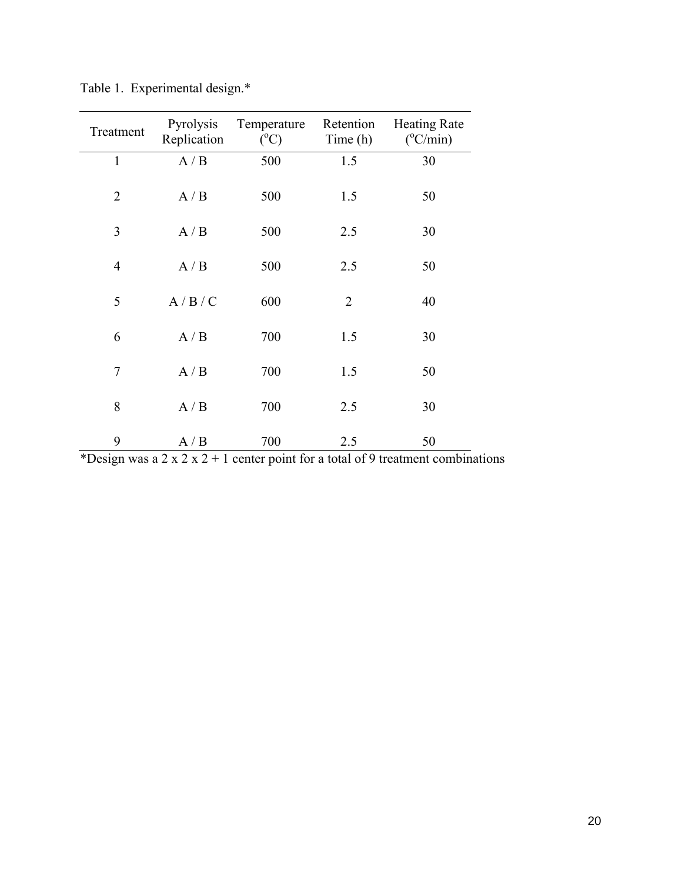| Treatment      | Pyrolysis<br>Replication | Temperature<br>$(^{\circ}C)$ | Retention<br>Time (h) | <b>Heating Rate</b><br>$(^{\circ}C/min)$ |
|----------------|--------------------------|------------------------------|-----------------------|------------------------------------------|
| $\mathbf{1}$   | A/B                      | 500                          | 1.5                   | 30                                       |
| $\overline{2}$ | A/B                      | 500                          | 1.5                   | 50                                       |
| 3              | A/B                      | 500                          | 2.5                   | 30                                       |
| $\overline{4}$ | A/B                      | 500                          | 2.5                   | 50                                       |
| 5              | A/B/C                    | 600                          | $\overline{2}$        | 40                                       |
| 6              | A/B                      | 700                          | 1.5                   | 30                                       |
| 7              | A/B                      | 700                          | 1.5                   | 50                                       |
| 8              | A/B                      | 700                          | 2.5                   | 30                                       |
| 9              | A/B                      | 700                          | 2.5                   | 50                                       |

Table 1. Experimental design.\*

\*Design was a 2 x 2 x 2 + 1 center point for a total of 9 treatment combinations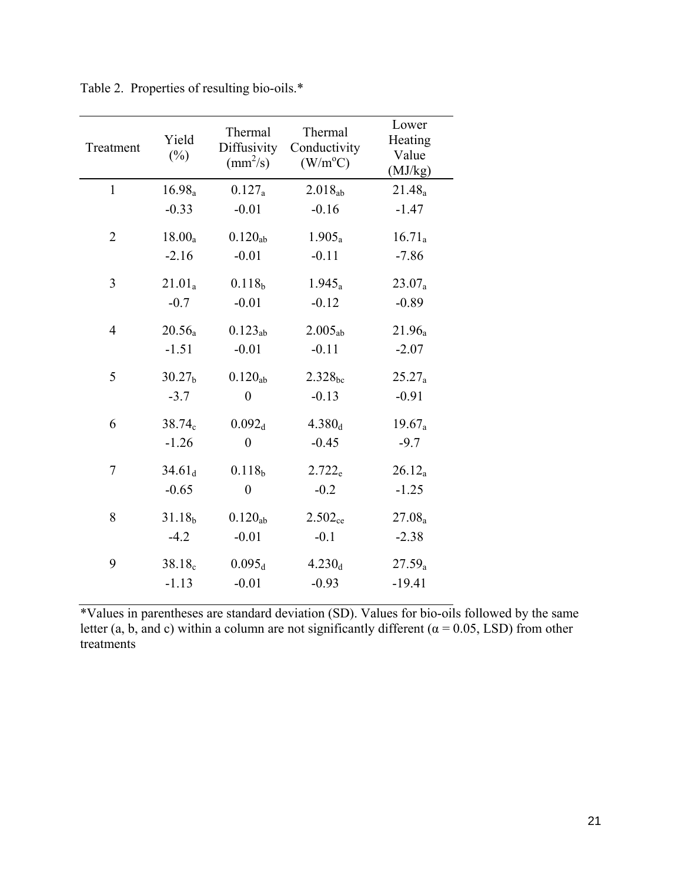| Treatment      | Yield<br>$(\%)$               | Thermal<br>Diffusivity<br>$\text{(mm}^2\text{/s)}$ | Thermal<br>Conductivity<br>$(W/m^{\circ}C)$ | Lower<br>Heating<br>Value<br>(MJ/kg) |
|----------------|-------------------------------|----------------------------------------------------|---------------------------------------------|--------------------------------------|
| $\mathbf{1}$   | 16.98 <sub>a</sub>            | $0.127_a$                                          | $2.018_{ab}$                                | 21.48 <sub>a</sub>                   |
|                | $-0.33$                       | $-0.01$                                            | $-0.16$                                     | $-1.47$                              |
| $\overline{2}$ | $18.00_a$                     | $0.120_{ab}$                                       | $1.905_a$                                   | $16.71_a$                            |
|                | $-2.16$                       | $-0.01$                                            | $-0.11$                                     | $-7.86$                              |
| 3              | $21.01_a$                     | 0.118 <sub>b</sub>                                 | $1.945_a$                                   | $23.07_a$                            |
|                | $-0.7$                        | $-0.01$                                            | $-0.12$                                     | $-0.89$                              |
| $\overline{4}$ | $20.56_a$                     | $0.123_{ab}$                                       | 2.005 <sub>ab</sub>                         | 21.96 <sub>a</sub>                   |
|                | $-1.51$                       | $-0.01$                                            | $-0.11$                                     | $-2.07$                              |
| 5              | 30.27 <sub>b</sub>            | $0.120_{ab}$                                       | $2.328_{\rm bc}$                            | $25.27_a$                            |
|                | $-3.7$                        | $\overline{0}$                                     | $-0.13$                                     | $-0.91$                              |
| 6              | $38.74_c$                     | 0.092 <sub>d</sub>                                 | $4.380_d$                                   | $19.67_a$                            |
|                | $-1.26$                       | $\boldsymbol{0}$                                   | $-0.45$                                     | $-9.7$                               |
| 7              | 34.61 <sub>d</sub>            | 0.118 <sub>b</sub>                                 | $2.722_{e}$                                 | $26.12_a$                            |
|                | $-0.65$                       | $\overline{0}$                                     | $-0.2$                                      | $-1.25$                              |
| 8              | 31.18 <sub>b</sub>            | $0.120_{ab}$                                       | $2.502_{ce}$                                | $27.08_a$                            |
|                | $-4.2$                        | $-0.01$                                            | $-0.1$                                      | $-2.38$                              |
| 9              | 38.18 <sub>c</sub><br>$-1.13$ | $0.095_d$<br>$-0.01$                               | $4.230_d$<br>$-0.93$                        | $27.59_a$<br>$-19.41$                |

Table 2. Properties of resulting bio-oils.\*

\*Values in parentheses are standard deviation (SD). Values for bio-oils followed by the same letter (a, b, and c) within a column are not significantly different ( $\alpha$  = 0.05, LSD) from other treatments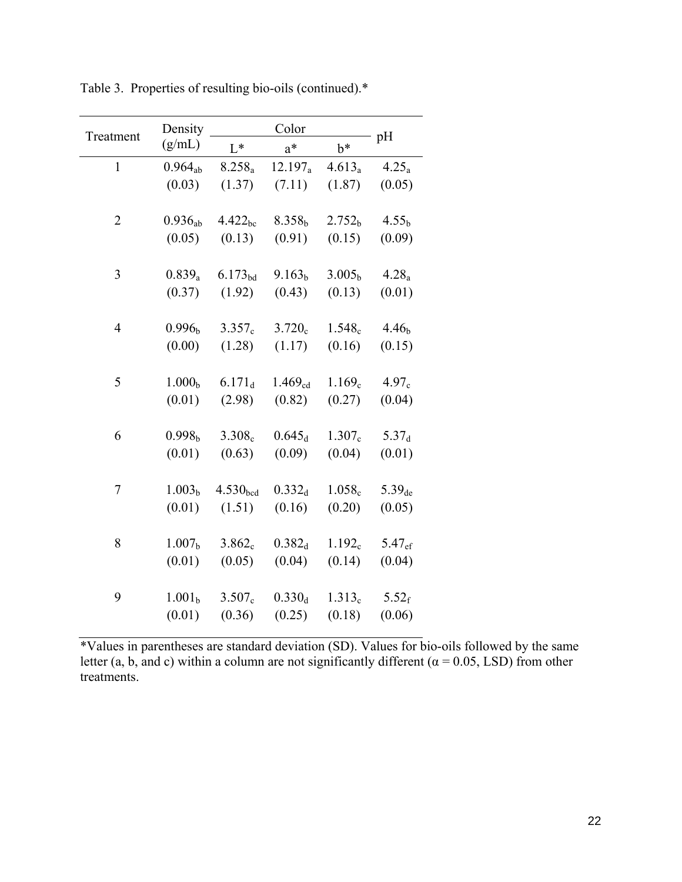| Treatment      | Density            |                      | Color              |                    |                   |
|----------------|--------------------|----------------------|--------------------|--------------------|-------------------|
|                | (g/mL)             | $L^*$                | $a^*$              | $b^*$              | pH                |
| $\mathbf{1}$   | $0.964_{ab}$       | $8.258_a$            | $12.197_a$         | $4.613_a$          | 4.25 <sub>a</sub> |
|                | (0.03)             | (1.37)               | (7.11)             | (1.87)             | (0.05)            |
| $\overline{2}$ | $0.936_{ab}$       | 4.422 <sub>bc</sub>  | 8.358 <sub>b</sub> | 2.752 <sub>b</sub> | 4.55 <sub>b</sub> |
|                | (0.05)             | (0.13)               | (0.91)             | (0.15)             | (0.09)            |
| 3              | $0.839_a$          | $6.173_{bd}$         | 9.163 <sub>b</sub> | 3.005 <sub>b</sub> | 4.28 <sub>a</sub> |
|                | (0.37)             | (1.92)               | (0.43)             | (0.13)             | (0.01)            |
| $\overline{4}$ | 0.996 <sub>b</sub> | $3.357_c$            | $3.720_c$          | 1.548 <sub>c</sub> | 4.46 <sub>b</sub> |
|                | (0.00)             | (1.28)               | (1.17)             | (0.16)             | (0.15)            |
| 5              | 1.000 <sub>b</sub> | $6.171_d$            | $1.469_{cd}$       | 1.169 <sub>c</sub> | 4.97 <sub>c</sub> |
|                | (0.01)             | (2.98)               | (0.82)             | (0.27)             | (0.04)            |
| 6              | 0.998 <sub>b</sub> | 3.308 <sub>c</sub>   | $0.645_d$          | $1.307_c$          | 5.37 <sub>d</sub> |
|                | (0.01)             | (0.63)               | (0.09)             | (0.04)             | (0.01)            |
| $\overline{7}$ | 1.003 <sub>b</sub> | 4.530 <sub>hed</sub> | $0.332_d$          | $1.058_c$          | $5.39_{de}$       |
|                | (0.01)             | (1.51)               | (0.16)             | (0.20)             | (0.05)            |
| 8              | 1.007 <sub>b</sub> | $3.862_c$            | $0.382_d$          | $1.192_c$          | $5.47_{\rm ef}$   |
|                | (0.01)             | (0.05)               | (0.04)             | (0.14)             | (0.04)            |
| 9              | 1.001 <sub>b</sub> | $3.507_c$            | $0.330_d$          | 1.313 <sub>c</sub> | $5.52_{\rm f}$    |
|                | (0.01)             | (0.36)               | (0.25)             | (0.18)             | (0.06)            |

Table 3. Properties of resulting bio-oils (continued).\*

\*Values in parentheses are standard deviation (SD). Values for bio-oils followed by the same letter (a, b, and c) within a column are not significantly different ( $\alpha$  = 0.05, LSD) from other treatments.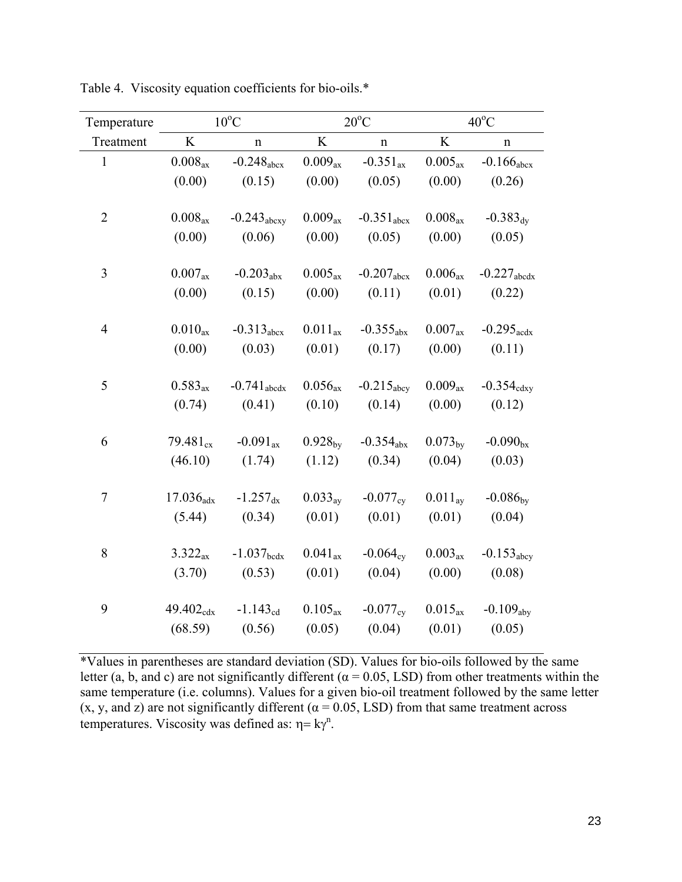| Temperature              |                       | $10^{\circ}$ C          |                     | $20^{\circ}$ C         |                     | $40^{\circ}$ C           |  |  |
|--------------------------|-----------------------|-------------------------|---------------------|------------------------|---------------------|--------------------------|--|--|
| Treatment                | K                     | $\mathbf n$             | K                   | $\mathbf n$            | K                   | n                        |  |  |
| $\mathbf{1}$             | $0.008_{\text{ax}}$   | $-0.248_{\text{abcx}}$  | $0.009_{\text{ax}}$ | $-0.351_{\text{ax}}$   | $0.005_{\text{ax}}$ | $-0.166_{\text{abcx}}$   |  |  |
|                          | (0.00)                | (0.15)                  | (0.00)              | (0.05)                 | (0.00)              | (0.26)                   |  |  |
| $\overline{2}$           | $0.008_{\text{ax}}$   | $-0.243_{\text{abcxy}}$ | $0.009_{\text{ax}}$ | $-0.351_{\text{abcx}}$ | $0.008_{\text{ax}}$ | $-0.383_{\rm{dy}}$       |  |  |
|                          | (0.00)                | (0.06)                  | (0.00)              | (0.05)                 | (0.00)              | (0.05)                   |  |  |
| $\overline{3}$           | $0.007_{\rm ax}$      | $-0.203_{\text{abs}}$   | $0.005_{\text{ax}}$ | $-0.207_{\text{abcx}}$ | $0.006_{\text{ax}}$ | $-0.227$ abedx           |  |  |
|                          | (0.00)                | (0.15)                  | (0.00)              | (0.11)                 | (0.01)              | (0.22)                   |  |  |
| $\overline{\mathcal{A}}$ | $0.010_{\text{ax}}$   | $-0.313_{\text{abcx}}$  | $0.011_{\text{ax}}$ | $-0.355_{\text{abs}}$  | $0.007_{\text{ax}}$ | $-0.295$ <sub>acdx</sub> |  |  |
|                          | (0.00)                | (0.03)                  | (0.01)              | (0.17)                 | (0.00)              | (0.11)                   |  |  |
| 5                        | $0.583_{\text{ax}}$   | $-0.741_{abcdx}$        | $0.056_{\text{ax}}$ | $-0.215_{\text{abcy}}$ | $0.009_{\text{ax}}$ | $-0.354_{\text{cdxy}}$   |  |  |
|                          | (0.74)                | (0.41)                  | (0.10)              | (0.14)                 | (0.00)              | (0.12)                   |  |  |
| 6                        | $79.481_{cx}$         | $-0.091_{\text{ax}}$    | $0.928_{\text{by}}$ | $-0.354_{\text{abs}}$  | $0.073_{\rm bv}$    | $-0.090_{bx}$            |  |  |
|                          | (46.10)               | (1.74)                  | (1.12)              | (0.34)                 | (0.04)              | (0.03)                   |  |  |
| 7                        | $17.036_{\text{adx}}$ | $-1.257_{\rm dx}$       | $0.033_{\text{av}}$ | $-0.077_{\rm{cv}}$     | $0.011_{\text{av}}$ | $-0.086_{\rm bv}$        |  |  |
|                          | (5.44)                | (0.34)                  | (0.01)              | (0.01)                 | (0.01)              | (0.04)                   |  |  |
| 8                        | $3.322_{\rm ax}$      | $-1.037_{\text{bedx}}$  | $0.041_{\text{ax}}$ | $-0.064_{\rm cv}$      | $0.003_{\text{ax}}$ | $-0.153_{\rm abcy}$      |  |  |
|                          | (3.70)                | (0.53)                  | (0.01)              | (0.04)                 | (0.00)              | (0.08)                   |  |  |
| 9                        | $49.402_{\text{cdx}}$ | $-1.143_{cd}$           | $0.105_{\text{ax}}$ | $-0.077_{\rm{cv}}$     | $0.015_{\text{ax}}$ | $-0.109_{\rm aby}$       |  |  |
|                          | (68.59)               | (0.56)                  | (0.05)              | (0.04)                 | (0.01)              | (0.05)                   |  |  |

Table 4. Viscosity equation coefficients for bio-oils.\*

\*Values in parentheses are standard deviation (SD). Values for bio-oils followed by the same letter (a, b, and c) are not significantly different ( $\alpha$  = 0.05, LSD) from other treatments within the same temperature (i.e. columns). Values for a given bio-oil treatment followed by the same letter (x, y, and z) are not significantly different ( $\alpha$  = 0.05, LSD) from that same treatment across temperatures. Viscosity was defined as:  $\eta = k\gamma^n$ .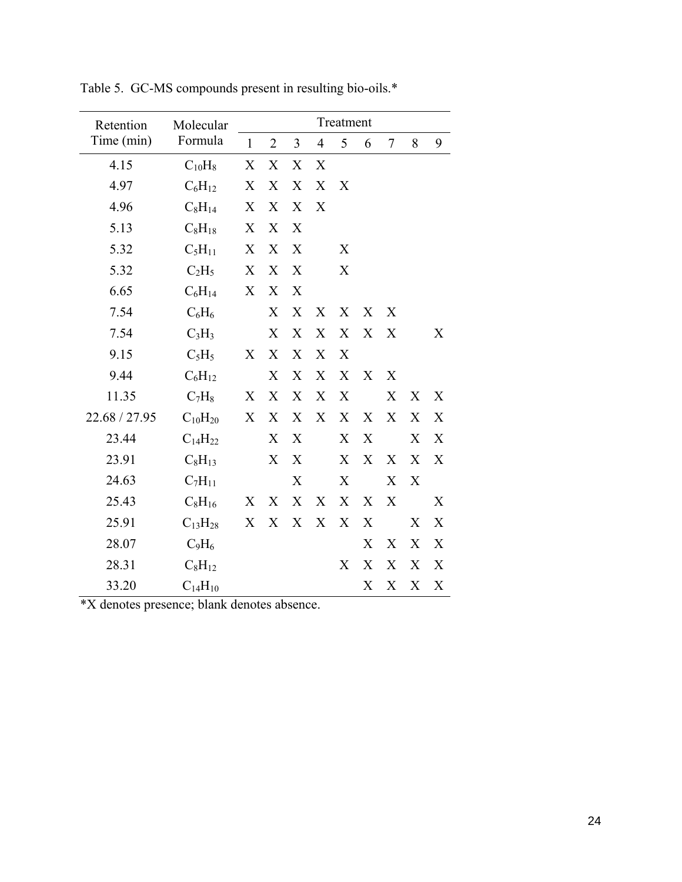| Retention     | Molecular      | Treatment    |                |                  |                |                  |                  |                |                  |   |
|---------------|----------------|--------------|----------------|------------------|----------------|------------------|------------------|----------------|------------------|---|
| Time (min)    | Formula        | $\mathbf{1}$ | $\overline{2}$ | 3                | $\overline{4}$ | 5                | 6                | $\overline{7}$ | 8                | 9 |
| 4.15          | $C_{10}H_8$    | X            | X              | X                | X              |                  |                  |                |                  |   |
| 4.97          | $C_6H_{12}$    | X            | X              | X                | X              | X                |                  |                |                  |   |
| 4.96          | $C_8H_{14}$    | X            | X              | X                | X              |                  |                  |                |                  |   |
| 5.13          | $C_8H_{18}$    | X            | X              | X                |                |                  |                  |                |                  |   |
| 5.32          | $C_5H_{11}$    | X            | X              | X                |                | X                |                  |                |                  |   |
| 5.32          | $C_2H_5$       | X            | X              | X                |                | X                |                  |                |                  |   |
| 6.65          | $C_6H_{14}$    | X            | X              | X                |                |                  |                  |                |                  |   |
| 7.54          | $C_6H_6$       |              | X              | X                | X              | X                | X                | X              |                  |   |
| 7.54          | $C_3H_3$       |              | X              | X                | X              | X                | X                | X              |                  | X |
| 9.15          | $C_5H_5$       | X            | X              | X                | X              | X                |                  |                |                  |   |
| 9.44          | $C_6H_{12}$    |              | X              | X                | X              | X                | X                | X              |                  |   |
| 11.35         | $C_7H_8$       | X            | X              | X                | X              | X                |                  | X              | X                | X |
| 22.68 / 27.95 | $C_{10}H_{20}$ | X            | X              | X                | X              | X                | X                | X              | X                | X |
| 23.44         | $C_{14}H_{22}$ |              | X              | X                |                | X                | X                |                | X                | X |
| 23.91         | $C_8H_{13}$    |              | X              | X                |                | X                | X                | X              | $\boldsymbol{X}$ | X |
| 24.63         | $C_7H_{11}$    |              |                | X                |                | $\boldsymbol{X}$ |                  | X              | X                |   |
| 25.43         | $C_8H_{16}$    | X            | X              | $\boldsymbol{X}$ | X              | X                | X                | X              |                  | X |
| 25.91         | $C_{13}H_{28}$ | X            | X              | X                | X              | X                | X                |                | X                | X |
| 28.07         | $C_9H_6$       |              |                |                  |                |                  | X                | X              | X                | X |
| 28.31         | $C_8H_{12}$    |              |                |                  |                | X                | X                | X              | X                | X |
| 33.20         | $C_{14}H_{10}$ |              |                |                  |                |                  | $\boldsymbol{X}$ | X              | X                | X |

Table 5. GC-MS compounds present in resulting bio-oils.\*

\*X denotes presence; blank denotes absence.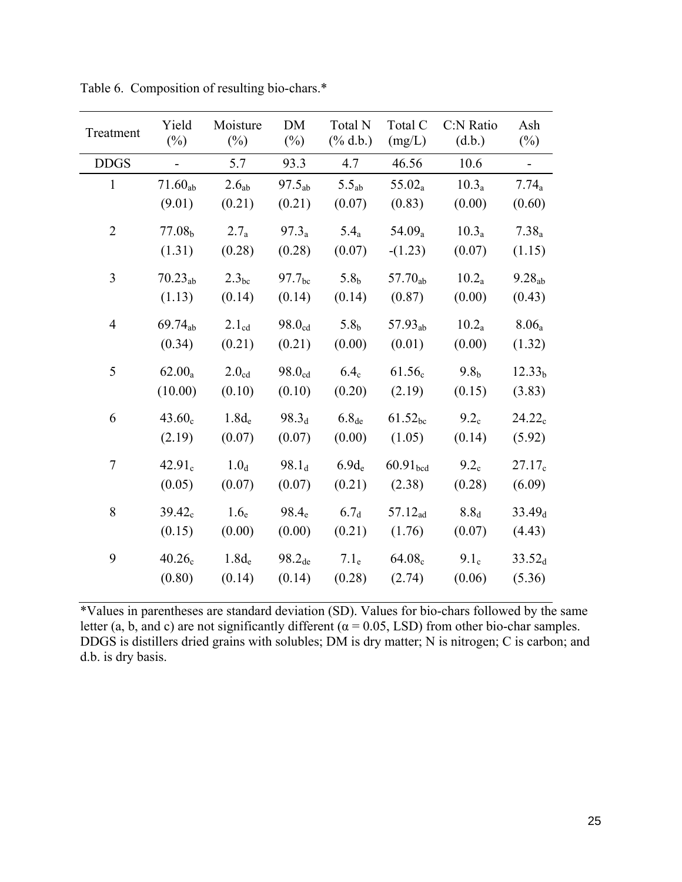| Treatment      | Yield<br>$(\%)$    | Moisture<br>$(\%)$ | DM<br>$(\%)$       | Total N<br>$(\%$ d.b.) | Total C<br>(mg/L)    | C:N Ratio<br>(d.b.) | Ash<br>$(\%)$      |
|----------------|--------------------|--------------------|--------------------|------------------------|----------------------|---------------------|--------------------|
| <b>DDGS</b>    | $\blacksquare$     | 5.7                | 93.3               | 4.7                    | 46.56                | 10.6                | $\blacksquare$     |
| $\mathbf{1}$   | $71.60_{ab}$       | 2.6 <sub>ab</sub>  | $97.5_{ab}$        | $5.5_{ab}$             | $55.02_a$            | $10.3_a$            | $7.74_a$           |
|                | (9.01)             | (0.21)             | (0.21)             | (0.07)                 | (0.83)               | (0.00)              | (0.60)             |
| $\overline{2}$ | 77.08 <sub>b</sub> | $2.7_a$            | $97.3_a$           | $5.4_a$                | $54.09_a$            | $10.3_a$            | $7.38_a$           |
|                | (1.31)             | (0.28)             | (0.28)             | (0.07)                 | $-(1.23)$            | (0.07)              | (1.15)             |
| $\overline{3}$ | $70.23_{ab}$       | 2.3 <sub>bc</sub>  | $97.7_{\text{bc}}$ | 5.8 <sub>b</sub>       | $57.70_{ab}$         | $10.2_a$            | $9.28_{ab}$        |
|                | (1.13)             | (0.14)             | (0.14)             | (0.14)                 | (0.87)               | (0.00)              | (0.43)             |
| $\overline{4}$ | $69.74_{ab}$       | $2.1_{cd}$         | $98.0_{cd}$        | 5.8 <sub>h</sub>       | $57.93_{ab}$         | $10.2_a$            | 8.06a              |
|                | (0.34)             | (0.21)             | (0.21)             | (0.00)                 | (0.01)               | (0.00)              | (1.32)             |
| 5              | $62.00_a$          | 2.0 <sub>cd</sub>  | $98.0_{cd}$        | 6.4 <sub>c</sub>       | $61.56_c$            | 9.8 <sub>b</sub>    | 12.33 <sub>b</sub> |
|                | (10.00)            | (0.10)             | (0.10)             | (0.20)                 | (2.19)               | (0.15)              | (3.83)             |
| 6              | 43.60 <sub>c</sub> | $1.8d_e$           | 98.3 <sub>d</sub>  | $6.8_{de}$             | $61.52_{bc}$         | 9.2 <sub>c</sub>    | $24.22_c$          |
|                | (2.19)             | (0.07)             | (0.07)             | (0.00)                 | (1.05)               | (0.14)              | (5.92)             |
| $\tau$         | 42.91 <sub>c</sub> | 1.0 <sub>d</sub>   | 98.1 <sub>d</sub>  | $6.9d_e$               | 60.91 <sub>hed</sub> | 9.2 <sub>c</sub>    | $27.17_c$          |
|                | (0.05)             | (0.07)             | (0.07)             | (0.21)                 | (2.38)               | (0.28)              | (6.09)             |
| $8\,$          | $39.42_c$          | 1.6 <sub>e</sub>   | 98.4 <sub>e</sub>  | 6.7 <sub>d</sub>       | $57.12_{ad}$         | $8.8_d$             | 33.49 <sub>d</sub> |
|                | (0.15)             | (0.00)             | (0.00)             | (0.21)                 | (1.76)               | (0.07)              | (4.43)             |
| 9              | 40.26 <sub>c</sub> | $1.8d_e$           | 98.2 <sub>de</sub> | 7.1 <sub>e</sub>       | 64.08 <sub>c</sub>   | 9.1 <sub>c</sub>    | $33.52_d$          |
|                | (0.80)             | (0.14)             | (0.14)             | (0.28)                 | (2.74)               | (0.06)              | (5.36)             |

Table 6. Composition of resulting bio-chars.\*

\*Values in parentheses are standard deviation (SD). Values for bio-chars followed by the same letter (a, b, and c) are not significantly different ( $\alpha$  = 0.05, LSD) from other bio-char samples. DDGS is distillers dried grains with solubles; DM is dry matter; N is nitrogen; C is carbon; and d.b. is dry basis.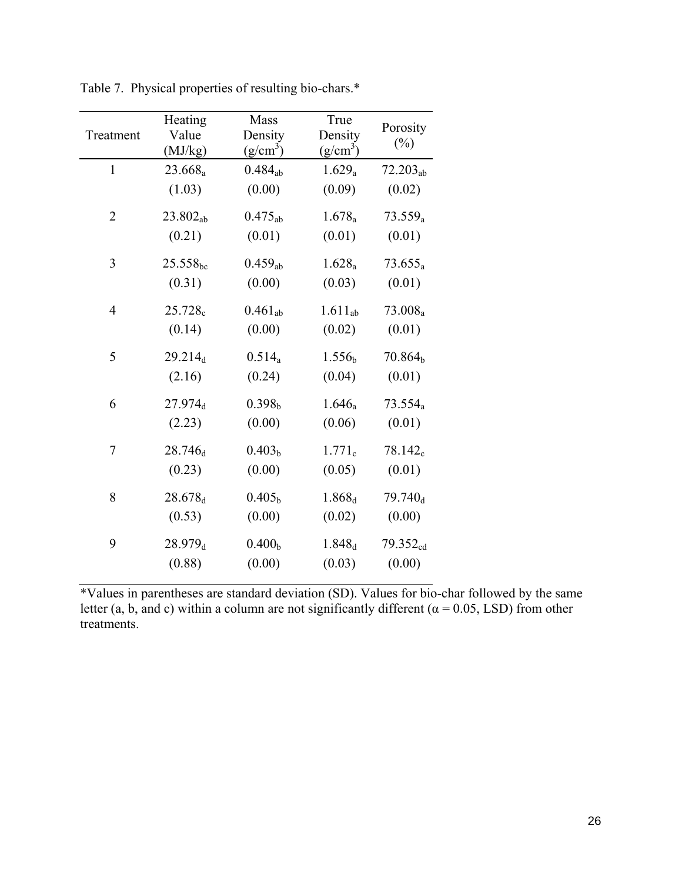| Treatment      | Heating<br>Value<br>(MJ/kg) | Mass<br>Density<br>$(g/cm^3)$ | True<br>Density<br>$(g/cm^3)$ | Porosity<br>$(\%)$   |
|----------------|-----------------------------|-------------------------------|-------------------------------|----------------------|
| $\mathbf{1}$   | $23.668_a$                  | $0.484_{ab}$                  | $1.629_a$                     | $72.203_{ab}$        |
|                | (1.03)                      | (0.00)                        | (0.09)                        | (0.02)               |
| $\overline{2}$ | $23.802_{ab}$               | $0.475_{ab}$                  | $1.678_a$                     | $73.559_a$           |
|                | (0.21)                      | (0.01)                        | (0.01)                        | (0.01)               |
| 3              | $25.558_{\rm bc}$           | $0.459_{ab}$                  | $1.628_a$                     | $73.655_a$           |
|                | (0.31)                      | (0.00)                        | (0.03)                        | (0.01)               |
| $\overline{4}$ | $25.728_c$                  | $0.461_{ab}$                  | $1.611_{ab}$                  | 73.008 <sub>a</sub>  |
|                | (0.14)                      | (0.00)                        | (0.02)                        | (0.01)               |
| 5              | 29.214 <sub>d</sub>         | $0.514_a$                     | 1.556 <sub>b</sub>            | 70.864 <sub>b</sub>  |
|                | (2.16)                      | (0.24)                        | (0.04)                        | (0.01)               |
| 6              | 27.974 <sub>d</sub>         | 0.398 <sub>b</sub>            | $1.646_a$                     | $73.554_a$           |
|                | (2.23)                      | (0.00)                        | (0.06)                        | (0.01)               |
| 7              | $28.746_d$                  | 0.403 <sub>b</sub>            | $1.771_c$                     | 78.142 <sub>c</sub>  |
|                | (0.23)                      | (0.00)                        | (0.05)                        | (0.01)               |
| 8              | 28.678 <sub>d</sub>         | 0.405 <sub>b</sub>            | 1.868 <sub>d</sub>            | $79.740_d$           |
|                | (0.53)                      | (0.00)                        | (0.02)                        | (0.00)               |
| 9              | 28.979 <sub>d</sub>         | 0.400 <sub>b</sub>            | 1.848 <sub>d</sub>            | 79.352 <sub>cd</sub> |
|                | (0.88)                      | (0.00)                        | (0.03)                        | (0.00)               |

Table 7. Physical properties of resulting bio-chars.\*

\*Values in parentheses are standard deviation (SD). Values for bio-char followed by the same letter (a, b, and c) within a column are not significantly different ( $\alpha$  = 0.05, LSD) from other treatments.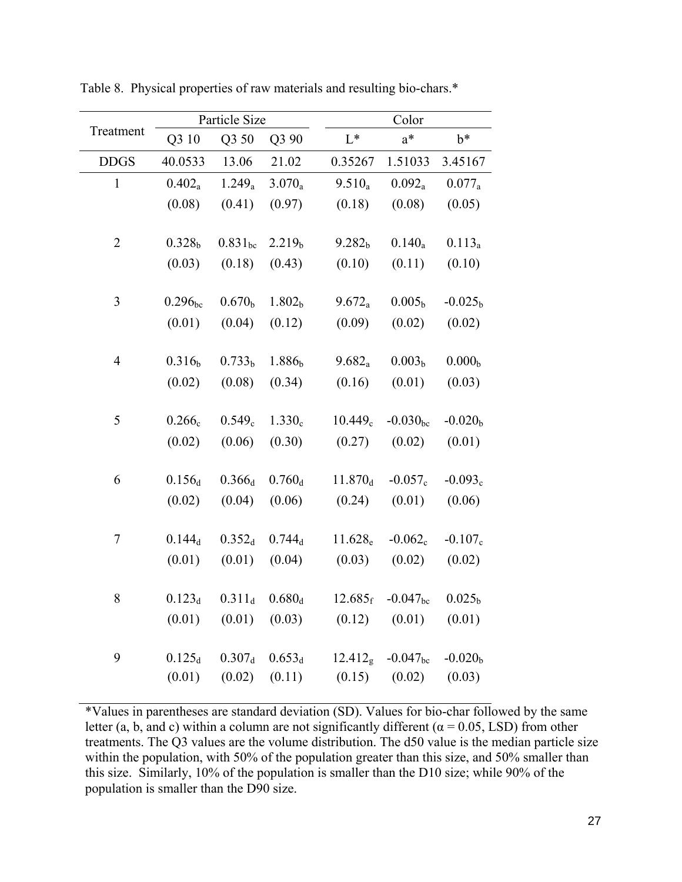|                |                    | Particle Size       |                    |                                              | Color                   |                    |
|----------------|--------------------|---------------------|--------------------|----------------------------------------------|-------------------------|--------------------|
| Treatment      | Q3 10              | Q3 50               | Q3 90              | $L^*$                                        | $a^*$                   | $b^*$              |
| <b>DDGS</b>    | 40.0533            | 13.06               | 21.02              | 0.35267                                      | 1.51033                 | 3.45167            |
| $\mathbf{1}$   | $0.402_a$          | $1.249_a$           | $3.070_a$          | $9.510_a$                                    | $0.092_a$               | $0.077_a$          |
|                | (0.08)             | (0.41)              | (0.97)             | (0.18)                                       | (0.08)                  | (0.05)             |
| $\overline{c}$ | $0.328_{b}$        | $0.831_{bc}$        | 2.219 <sub>b</sub> | 9.282 <sub>b</sub>                           | $0.140_a$               | $0.113_a$          |
|                | (0.03)             | (0.18)              | (0.43)             | (0.10)                                       | (0.11)                  | (0.10)             |
| 3              | $0.296_{bc}$       | 0.670 <sub>b</sub>  | 1.802 <sub>b</sub> | $9.672_a$                                    | 0.005 <sub>b</sub>      | $-0.025b$          |
|                | (0.01)             | (0.04)              | (0.12)             | (0.09)                                       | (0.02)                  | (0.02)             |
| $\overline{4}$ | 0.316 <sub>b</sub> | 0.733 <sub>b</sub>  | 1.886 <sub>b</sub> | $9.682_a$                                    | 0.003 <sub>b</sub>      | 0.000 <sub>b</sub> |
|                | (0.02)             | (0.08)              | (0.34)             | (0.16)                                       | (0.01)                  | (0.03)             |
|                |                    |                     |                    |                                              |                         |                    |
| 5              | $0.266_c$          | $0.549_c$           | $1.330_c$          | 10.449 <sub>c</sub>                          | $-0.030_{\rm bc}$       | $-0.020b$          |
|                | (0.02)             | (0.06)              | (0.30)             | (0.27)                                       | (0.02)                  | (0.01)             |
| 6              | $0.156_d$          | $0.366_d$           | $0.760_d$          | $11.870_d$                                   | $-0.057_c$              | $-0.093_c$         |
|                | (0.02)             | (0.04)              | (0.06)             | (0.24)                                       | (0.01)                  | (0.06)             |
| 7              | $0.144_d$          | $0.352_d$           | $0.744_d$          | $11.628_{e}$                                 | $-0.062_c$              | $-0.107_c$         |
|                | (0.01)             | (0.01)              | (0.04)             | (0.03)                                       | (0.02)                  | (0.02)             |
| 8              | $0.123_d$          | $0.311_d$           | $0.680_d$          |                                              | $12.685_f - 0.047_{bc}$ | 0.025 <sub>b</sub> |
|                |                    |                     |                    | $(0.01)$ $(0.01)$ $(0.03)$ $(0.12)$ $(0.01)$ |                         | (0.01)             |
|                |                    |                     |                    |                                              |                         |                    |
| 9              |                    | $0.125_d$ $0.307_d$ | $0.653_d$          |                                              | $12.412g -0.047bc$      | $-0.020b$          |
|                |                    | $(0.01)$ $(0.02)$   | (0.11)             |                                              | $(0.15)$ $(0.02)$       | (0.03)             |

Table 8. Physical properties of raw materials and resulting bio-chars.\*

\*Values in parentheses are standard deviation (SD). Values for bio-char followed by the same letter (a, b, and c) within a column are not significantly different ( $\alpha$  = 0.05, LSD) from other treatments. The Q3 values are the volume distribution. The d50 value is the median particle size within the population, with 50% of the population greater than this size, and 50% smaller than this size. Similarly, 10% of the population is smaller than the D10 size; while 90% of the population is smaller than the D90 size.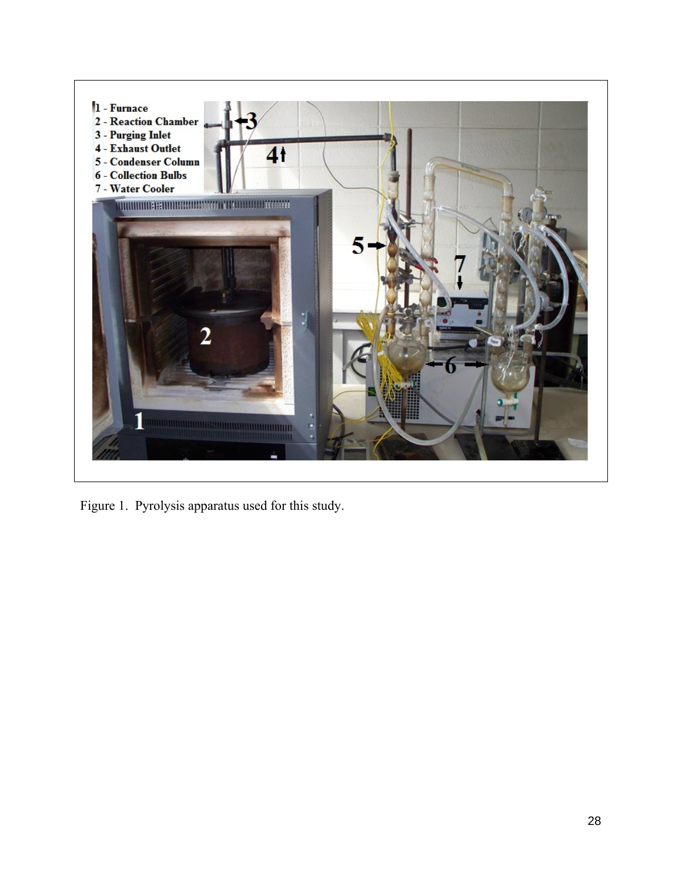

Figure 1. Pyrolysis apparatus used for this study.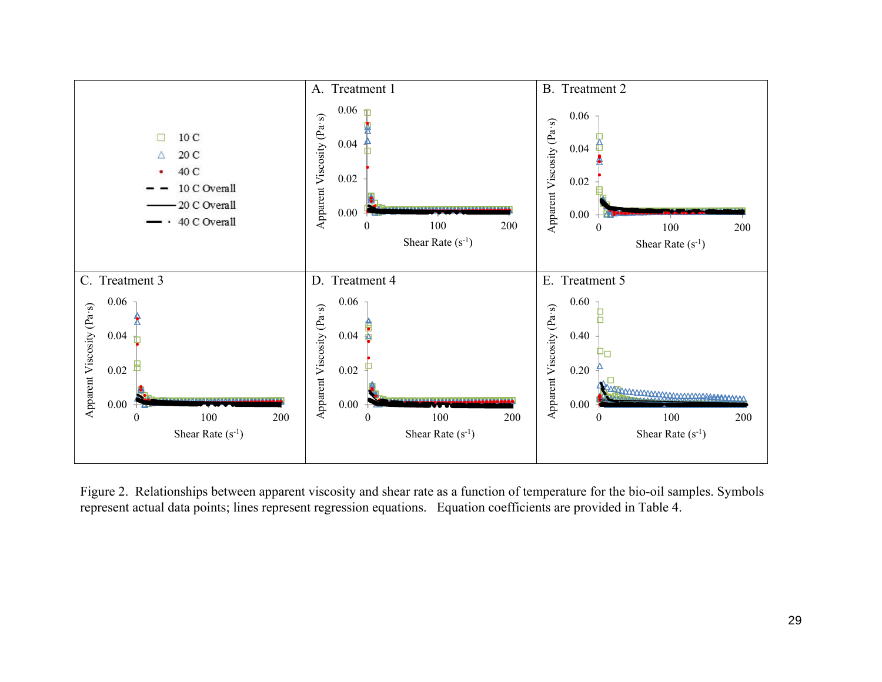

Figure 2. Relationships between apparent viscosity and shear rate as a function of temperature for the bio-oil samples. Symbols represent actual data points; lines represent regression equations. Equation coefficients are provided in Table 4.